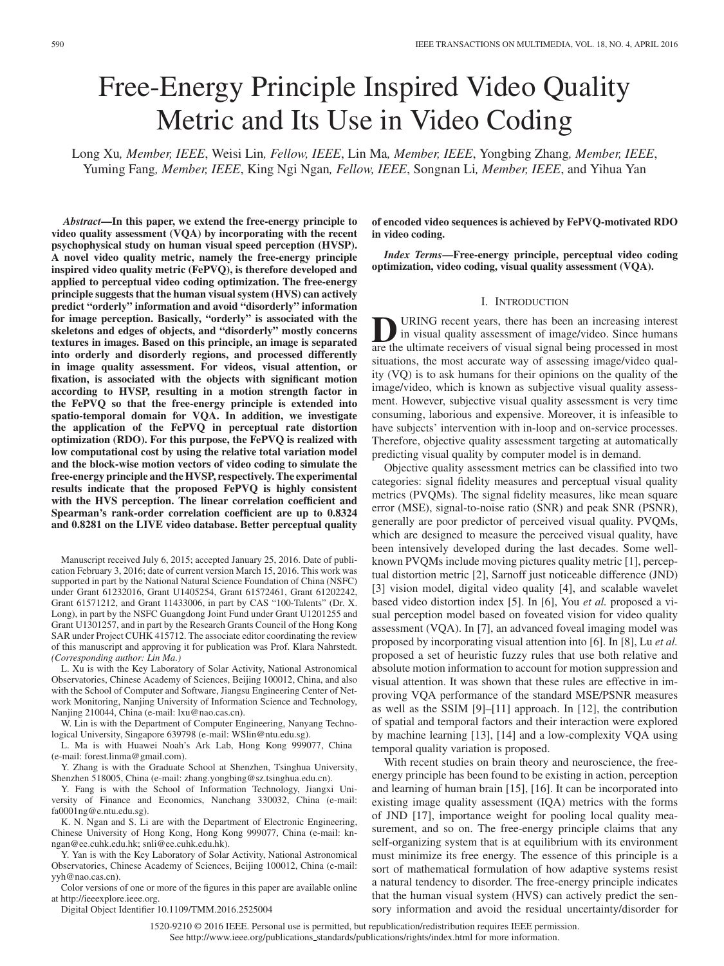# Free-Energy Principle Inspired Video Quality Metric and Its Use in Video Coding

Long Xu*, Member, IEEE*, Weisi Lin*, Fellow, IEEE*, Lin Ma*, Member, IEEE*, Yongbing Zhang*, Member, IEEE*, Yuming Fang*, Member, IEEE*, King Ngi Ngan*, Fellow, IEEE*, Songnan Li*, Member, IEEE*, and Yihua Yan

*Abstract***—In this paper, we extend the free-energy principle to video quality assessment (VQA) by incorporating with the recent psychophysical study on human visual speed perception (HVSP). A novel video quality metric, namely the free-energy principle inspired video quality metric (FePVQ), is therefore developed and applied to perceptual video coding optimization. The free-energy principle suggests that the human visual system (HVS) can actively predict "orderly" information and avoid "disorderly" information for image perception. Basically, "orderly" is associated with the skeletons and edges of objects, and "disorderly" mostly concerns textures in images. Based on this principle, an image is separated into orderly and disorderly regions, and processed differently in image quality assessment. For videos, visual attention, or fixation, is associated with the objects with significant motion according to HVSP, resulting in a motion strength factor in the FePVQ so that the free-energy principle is extended into spatio-temporal domain for VQA. In addition, we investigate the application of the FePVQ in perceptual rate distortion optimization (RDO). For this purpose, the FePVQ is realized with low computational cost by using the relative total variation model and the block-wise motion vectors of video coding to simulate the free-energy principle and the HVSP, respectively. The experimental results indicate that the proposed FePVQ is highly consistent with the HVS perception. The linear correlation coefficient and Spearman's rank-order correlation coefficient are up to 0.8324 and 0.8281 on the LIVE video database. Better perceptual quality**

Manuscript received July 6, 2015; accepted January 25, 2016. Date of publication February 3, 2016; date of current version March 15, 2016. This work was supported in part by the National Natural Science Foundation of China (NSFC) under Grant 61232016, Grant U1405254, Grant 61572461, Grant 61202242, Grant 61571212, and Grant 11433006, in part by CAS "100-Talents" (Dr. X. Long), in part by the NSFC Guangdong Joint Fund under Grant U1201255 and Grant U1301257, and in part by the Research Grants Council of the Hong Kong SAR under Project CUHK 415712. The associate editor coordinating the review of this manuscript and approving it for publication was Prof. Klara Nahrstedt. *(Corresponding author: Lin Ma.)*

L. Xu is with the Key Laboratory of Solar Activity, National Astronomical Observatories, Chinese Academy of Sciences, Beijing 100012, China, and also with the School of Computer and Software, Jiangsu Engineering Center of Network Monitoring, Nanjing University of Information Science and Technology, Nanjing 210044, China (e-mail: lxu@nao.cas.cn).

W. Lin is with the Department of Computer Engineering, Nanyang Technological University, Singapore 639798 (e-mail: WSlin@ntu.edu.sg).

L. Ma is with Huawei Noah's Ark Lab, Hong Kong 999077, China (e-mail: forest.linma@gmail.com).

Y. Zhang is with the Graduate School at Shenzhen, Tsinghua University, Shenzhen 518005, China (e-mail: zhang.yongbing@sz.tsinghua.edu.cn).

Y. Fang is with the School of Information Technology, Jiangxi University of Finance and Economics, Nanchang 330032, China (e-mail: fa0001ng@e.ntu.edu.sg).

K. N. Ngan and S. Li are with the Department of Electronic Engineering, Chinese University of Hong Kong, Hong Kong 999077, China (e-mail: knngan@ee.cuhk.edu.hk; snli@ee.cuhk.edu.hk).

Y. Yan is with the Key Laboratory of Solar Activity, National Astronomical Observatories, Chinese Academy of Sciences, Beijing 100012, China (e-mail: yyh@nao.cas.cn).

Color versions of one or more of the figures in this paper are available online at http://ieeexplore.ieee.org.

Digital Object Identifier 10.1109/TMM.2016.2525004

**of encoded video sequences is achieved by FePVQ-motivated RDO in video coding.**

*Index Terms***—Free-energy principle, perceptual video coding optimization, video coding, visual quality assessment (VQA).**

### I. INTRODUCTION

**D**URING recent years, there has been an increasing interest<br>in visual quality assessment of image/video. Since humans<br>are the ultimate receivers of visual signal being processed in most are the ultimate receivers of visual signal being processed in most situations, the most accurate way of assessing image/video quality (VQ) is to ask humans for their opinions on the quality of the image/video, which is known as subjective visual quality assessment. However, subjective visual quality assessment is very time consuming, laborious and expensive. Moreover, it is infeasible to have subjects' intervention with in-loop and on-service processes. Therefore, objective quality assessment targeting at automatically predicting visual quality by computer model is in demand.

Objective quality assessment metrics can be classified into two categories: signal fidelity measures and perceptual visual quality metrics (PVQMs). The signal fidelity measures, like mean square error (MSE), signal-to-noise ratio (SNR) and peak SNR (PSNR), generally are poor predictor of perceived visual quality. PVQMs, which are designed to measure the perceived visual quality, have been intensively developed during the last decades. Some wellknown PVQMs include moving pictures quality metric [1], perceptual distortion metric [2], Sarnoff just noticeable difference (JND) [3] vision model, digital video quality [4], and scalable wavelet based video distortion index [5]. In [6], You *et al.* proposed a visual perception model based on foveated vision for video quality assessment (VQA). In [7], an advanced foveal imaging model was proposed by incorporating visual attention into [6]. In [8], Lu *et al.* proposed a set of heuristic fuzzy rules that use both relative and absolute motion information to account for motion suppression and visual attention. It was shown that these rules are effective in improving VQA performance of the standard MSE/PSNR measures as well as the SSIM [9]–[11] approach. In [12], the contribution of spatial and temporal factors and their interaction were explored by machine learning [13], [14] and a low-complexity VQA using temporal quality variation is proposed.

With recent studies on brain theory and neuroscience, the freeenergy principle has been found to be existing in action, perception and learning of human brain [15], [16]. It can be incorporated into existing image quality assessment (IQA) metrics with the forms of JND [17], importance weight for pooling local quality measurement, and so on. The free-energy principle claims that any self-organizing system that is at equilibrium with its environment must minimize its free energy. The essence of this principle is a sort of mathematical formulation of how adaptive systems resist a natural tendency to disorder. The free-energy principle indicates that the human visual system (HVS) can actively predict the sensory information and avoid the residual uncertainty/disorder for

1520-9210 © 2016 IEEE. Personal use is permitted, but republication/redistribution requires IEEE permission. See http://www.ieee.org/publications\_standards/publications/rights/index.html for more information.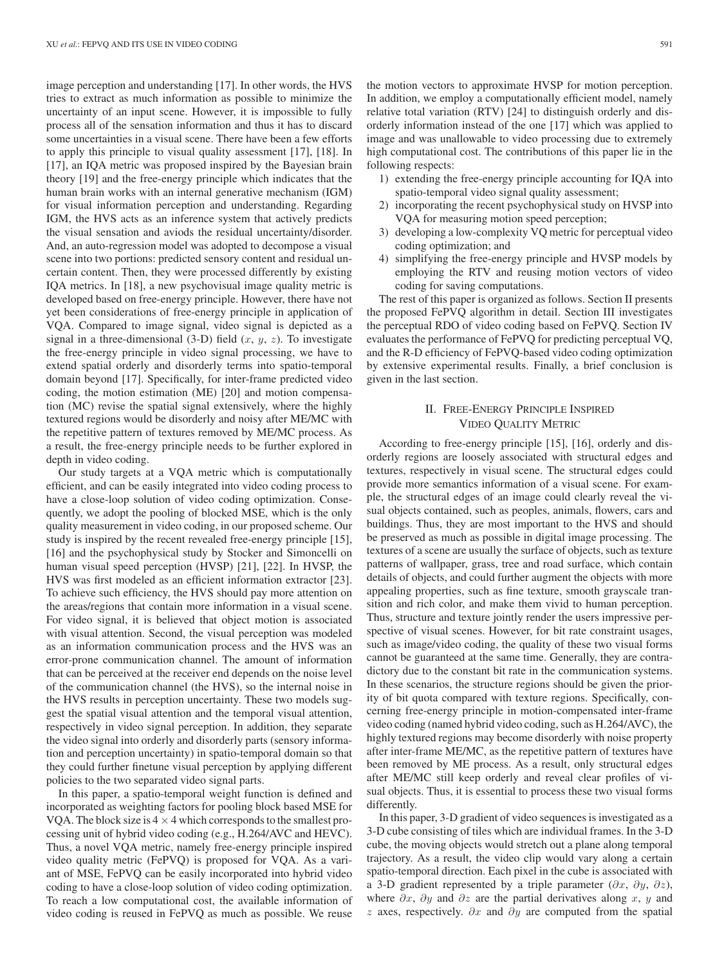image perception and understanding [17]. In other words, the HVS tries to extract as much information as possible to minimize the uncertainty of an input scene. However, it is impossible to fully process all of the sensation information and thus it has to discard some uncertainties in a visual scene. There have been a few efforts to apply this principle to visual quality assessment [17], [18]. In [17], an IQA metric was proposed inspired by the Bayesian brain theory [19] and the free-energy principle which indicates that the human brain works with an internal generative mechanism (IGM) for visual information perception and understanding. Regarding IGM, the HVS acts as an inference system that actively predicts the visual sensation and aviods the residual uncertainty/disorder. And, an auto-regression model was adopted to decompose a visual scene into two portions: predicted sensory content and residual uncertain content. Then, they were processed differently by existing IQA metrics. In [18], a new psychovisual image quality metric is developed based on free-energy principle. However, there have not yet been considerations of free-energy principle in application of VQA. Compared to image signal, video signal is depicted as a signal in a three-dimensional  $(3-D)$  field  $(x, y, z)$ . To investigate the free-energy principle in video signal processing, we have to extend spatial orderly and disorderly terms into spatio-temporal domain beyond [17]. Specifically, for inter-frame predicted video coding, the motion estimation (ME) [20] and motion compensation (MC) revise the spatial signal extensively, where the highly textured regions would be disorderly and noisy after ME/MC with the repetitive pattern of textures removed by ME/MC process. As a result, the free-energy principle needs to be further explored in depth in video coding.

Our study targets at a VQA metric which is computationally efficient, and can be easily integrated into video coding process to have a close-loop solution of video coding optimization. Consequently, we adopt the pooling of blocked MSE, which is the only quality measurement in video coding, in our proposed scheme. Our study is inspired by the recent revealed free-energy principle [15], [16] and the psychophysical study by Stocker and Simoncelli on human visual speed perception (HVSP) [21], [22]. In HVSP, the HVS was first modeled as an efficient information extractor [23]. To achieve such efficiency, the HVS should pay more attention on the areas/regions that contain more information in a visual scene. For video signal, it is believed that object motion is associated with visual attention. Second, the visual perception was modeled as an information communication process and the HVS was an error-prone communication channel. The amount of information that can be perceived at the receiver end depends on the noise level of the communication channel (the HVS), so the internal noise in the HVS results in perception uncertainty. These two models suggest the spatial visual attention and the temporal visual attention, respectively in video signal perception. In addition, they separate the video signal into orderly and disorderly parts (sensory information and perception uncertainty) in spatio-temporal domain so that they could further finetune visual perception by applying different policies to the two separated video signal parts.

In this paper, a spatio-temporal weight function is defined and incorporated as weighting factors for pooling block based MSE for VQA. The block size is  $4 \times 4$  which corresponds to the smallest processing unit of hybrid video coding (e.g., H.264/AVC and HEVC). Thus, a novel VQA metric, namely free-energy principle inspired video quality metric (FePVQ) is proposed for VQA. As a variant of MSE, FePVQ can be easily incorporated into hybrid video coding to have a close-loop solution of video coding optimization. To reach a low computational cost, the available information of video coding is reused in FePVQ as much as possible. We reuse the motion vectors to approximate HVSP for motion perception. In addition, we employ a computationally efficient model, namely relative total variation (RTV) [24] to distinguish orderly and disorderly information instead of the one [17] which was applied to image and was unallowable to video processing due to extremely high computational cost. The contributions of this paper lie in the following respects:

- 1) extending the free-energy principle accounting for IQA into spatio-temporal video signal quality assessment;
- 2) incorporating the recent psychophysical study on HVSP into VQA for measuring motion speed perception;
- 3) developing a low-complexity VQ metric for perceptual video coding optimization; and
- 4) simplifying the free-energy principle and HVSP models by employing the RTV and reusing motion vectors of video coding for saving computations.

The rest of this paper is organized as follows. Section II presents the proposed FePVQ algorithm in detail. Section III investigates the perceptual RDO of video coding based on FePVQ. Section IV evaluates the performance of FePVQ for predicting perceptual VQ, and the R-D efficiency of FePVQ-based video coding optimization by extensive experimental results. Finally, a brief conclusion is given in the last section.

# II. FREE-ENERGY PRINCIPLE INSPIRED VIDEO QUALITY METRIC

According to free-energy principle [15], [16], orderly and disorderly regions are loosely associated with structural edges and textures, respectively in visual scene. The structural edges could provide more semantics information of a visual scene. For example, the structural edges of an image could clearly reveal the visual objects contained, such as peoples, animals, flowers, cars and buildings. Thus, they are most important to the HVS and should be preserved as much as possible in digital image processing. The textures of a scene are usually the surface of objects, such as texture patterns of wallpaper, grass, tree and road surface, which contain details of objects, and could further augment the objects with more appealing properties, such as fine texture, smooth grayscale transition and rich color, and make them vivid to human perception. Thus, structure and texture jointly render the users impressive perspective of visual scenes. However, for bit rate constraint usages, such as image/video coding, the quality of these two visual forms cannot be guaranteed at the same time. Generally, they are contradictory due to the constant bit rate in the communication systems. In these scenarios, the structure regions should be given the priority of bit quota compared with texture regions. Specifically, concerning free-energy principle in motion-compensated inter-frame video coding (named hybrid video coding, such as H.264/AVC), the highly textured regions may become disorderly with noise property after inter-frame ME/MC, as the repetitive pattern of textures have been removed by ME process. As a result, only structural edges after ME/MC still keep orderly and reveal clear profiles of visual objects. Thus, it is essential to process these two visual forms differently.

In this paper, 3-D gradient of video sequences is investigated as a 3-D cube consisting of tiles which are individual frames. In the 3-D cube, the moving objects would stretch out a plane along temporal trajectory. As a result, the video clip would vary along a certain spatio-temporal direction. Each pixel in the cube is associated with a 3-D gradient represented by a triple parameter  $(\partial x, \partial y, \partial z)$ , where  $\partial x$ ,  $\partial y$  and  $\partial z$  are the partial derivatives along x, y and z axes, respectively.  $\partial x$  and  $\partial y$  are computed from the spatial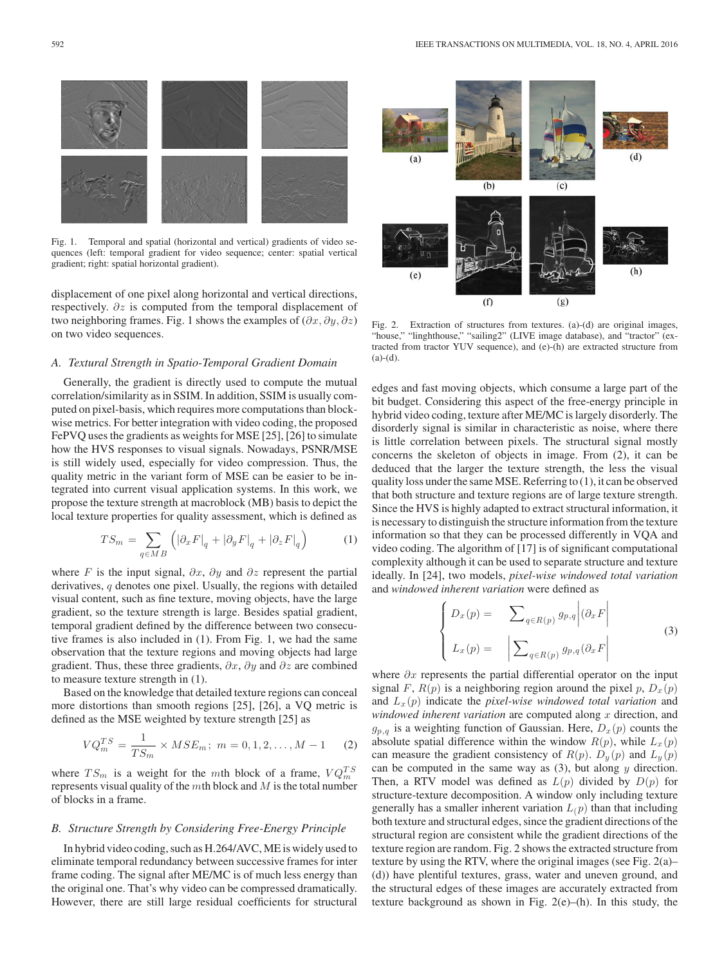

Fig. 1. Temporal and spatial (horizontal and vertical) gradients of video sequences (left: temporal gradient for video sequence; center: spatial vertical gradient; right: spatial horizontal gradient).

displacement of one pixel along horizontal and vertical directions, respectively. ∂z is computed from the temporal displacement of two neighboring frames. Fig. 1 shows the examples of  $(\partial x, \partial y, \partial z)$ on two video sequences.

## *A. Textural Strength in Spatio-Temporal Gradient Domain*

Generally, the gradient is directly used to compute the mutual correlation/similarity as in SSIM. In addition, SSIM is usually computed on pixel-basis, which requires more computations than blockwise metrics. For better integration with video coding, the proposed FePVQ uses the gradients as weights for MSE [25], [26] to simulate how the HVS responses to visual signals. Nowadays, PSNR/MSE is still widely used, especially for video compression. Thus, the quality metric in the variant form of MSE can be easier to be integrated into current visual application systems. In this work, we propose the texture strength at macroblock (MB) basis to depict the local texture properties for quality assessment, which is defined as

$$
TS_m = \sum_{q \in MB} \left( \left| \partial_x F \right|_q + \left| \partial_y F \right|_q + \left| \partial_z F \right|_q \right) \tag{1}
$$

where F is the input signal,  $\partial x$ ,  $\partial y$  and  $\partial z$  represent the partial derivatives, q denotes one pixel. Usually, the regions with detailed visual content, such as fine texture, moving objects, have the large gradient, so the texture strength is large. Besides spatial gradient, temporal gradient defined by the difference between two consecutive frames is also included in (1). From Fig. 1, we had the same observation that the texture regions and moving objects had large gradient. Thus, these three gradients,  $\partial x$ ,  $\partial y$  and  $\partial z$  are combined to measure texture strength in (1).

Based on the knowledge that detailed texture regions can conceal more distortions than smooth regions [25], [26], a VQ metric is defined as the MSE weighted by texture strength [25] as

$$
VQ_m^{TS} = \frac{1}{TS_m} \times MSE_m; \ m = 0, 1, 2, \dots, M - 1 \tag{2}
$$

where  $TS_m$  is a weight for the mth block of a frame,  $VQ_m^{TS}$ represents visual quality of the  $m$ th block and  $M$  is the total number of blocks in a frame.

## *B. Structure Strength by Considering Free-Energy Principle*

In hybrid video coding, such as H.264/AVC, ME is widely used to eliminate temporal redundancy between successive frames for inter frame coding. The signal after ME/MC is of much less energy than the original one. That's why video can be compressed dramatically. However, there are still large residual coefficients for structural



Fig. 2. Extraction of structures from textures. (a)-(d) are original images, "house," "linghthouse," "sailing2" (LIVE image database), and "tractor" (extracted from tractor YUV sequence), and (e)-(h) are extracted structure from  $(a)-(d)$ .

edges and fast moving objects, which consume a large part of the bit budget. Considering this aspect of the free-energy principle in hybrid video coding, texture after ME/MC is largely disorderly. The disorderly signal is similar in characteristic as noise, where there is little correlation between pixels. The structural signal mostly concerns the skeleton of objects in image. From (2), it can be deduced that the larger the texture strength, the less the visual quality loss under the same MSE. Referring to (1), it can be observed that both structure and texture regions are of large texture strength. Since the HVS is highly adapted to extract structural information, it is necessary to distinguish the structure information from the texture information so that they can be processed differently in VQA and video coding. The algorithm of [17] is of significant computational complexity although it can be used to separate structure and texture ideally. In [24], two models, *pixel-wise windowed total variation* and *windowed inherent variation* were defined as

$$
\begin{cases}\nD_x(p) = \sum_{q \in R(p)} g_{p,q} \middle| (\partial_x F) \\
L_x(p) = \left| \sum_{q \in R(p)} g_{p,q} (\partial_x F) \right|\n\end{cases}
$$
\n(3)

where  $\partial x$  represents the partial differential operator on the input signal F,  $R(p)$  is a neighboring region around the pixel p,  $D_x(p)$ and Lx (p) indicate the *pixel-wise windowed total variation* and *windowed inherent variation* are computed along x direction, and  $g_{p,q}$  is a weighting function of Gaussian. Here,  $D_x(p)$  counts the absolute spatial difference within the window  $R(p)$ , while  $L_x(p)$ can measure the gradient consistency of  $R(p)$ .  $D_y(p)$  and  $L_y(p)$ can be computed in the same way as  $(3)$ , but along y direction. Then, a RTV model was defined as  $L(p)$  divided by  $D(p)$  for structure-texture decomposition. A window only including texture generally has a smaller inherent variation  $L(p)$  than that including both texture and structural edges, since the gradient directions of the structural region are consistent while the gradient directions of the texture region are random. Fig. 2 shows the extracted structure from texture by using the RTV, where the original images (see Fig. 2(a)– (d)) have plentiful textures, grass, water and uneven ground, and the structural edges of these images are accurately extracted from texture background as shown in Fig. 2(e)–(h). In this study, the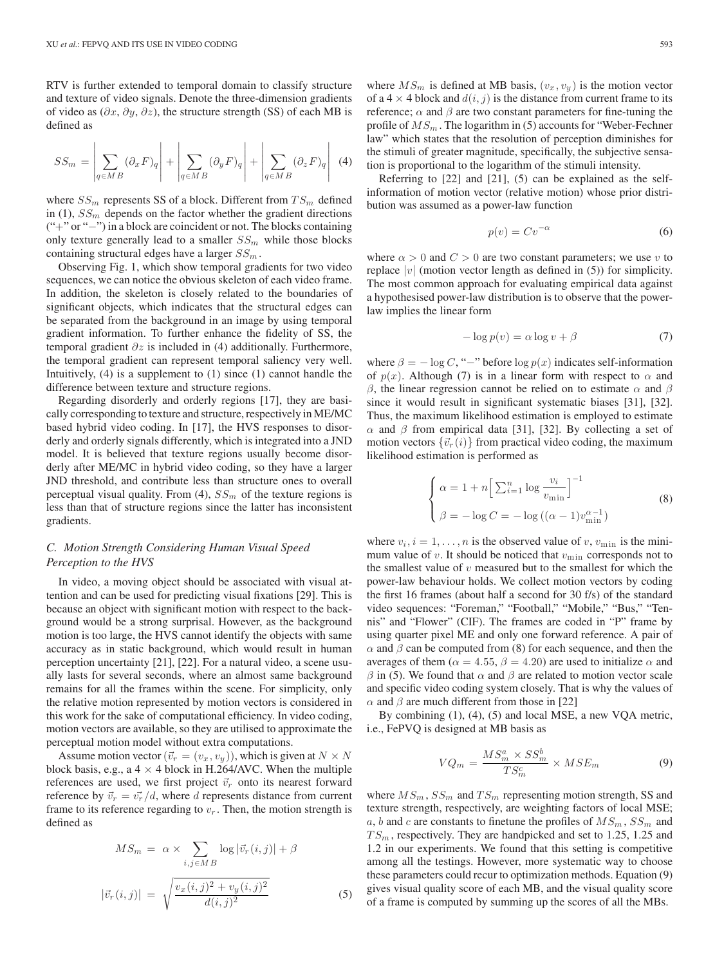RTV is further extended to temporal domain to classify structure and texture of video signals. Denote the three-dimension gradients of video as  $(\partial x, \partial y, \partial z)$ , the structure strength (SS) of each MB is defined as

$$
SS_m = \left| \sum_{q \in MB} (\partial_x F)_q \right| + \left| \sum_{q \in MB} (\partial_y F)_q \right| + \left| \sum_{q \in MB} (\partial_z F)_q \right| \tag{4}
$$

where  $SS_m$  represents SS of a block. Different from  $TS_m$  defined in (1),  $SS_m$  depends on the factor whether the gradient directions ("+" or "−") in a block are coincident or not. The blocks containing only texture generally lead to a smaller  $SS_m$  while those blocks containing structural edges have a larger  $SS_m$ .

Observing Fig. 1, which show temporal gradients for two video sequences, we can notice the obvious skeleton of each video frame. In addition, the skeleton is closely related to the boundaries of significant objects, which indicates that the structural edges can be separated from the background in an image by using temporal gradient information. To further enhance the fidelity of SS, the temporal gradient  $\partial z$  is included in (4) additionally. Furthermore, the temporal gradient can represent temporal saliency very well. Intuitively,  $(4)$  is a supplement to  $(1)$  since  $(1)$  cannot handle the difference between texture and structure regions.

Regarding disorderly and orderly regions [17], they are basically corresponding to texture and structure, respectively in ME/MC based hybrid video coding. In [17], the HVS responses to disorderly and orderly signals differently, which is integrated into a JND model. It is believed that texture regions usually become disorderly after ME/MC in hybrid video coding, so they have a larger JND threshold, and contribute less than structure ones to overall perceptual visual quality. From (4),  $SS_m$  of the texture regions is less than that of structure regions since the latter has inconsistent gradients.

# *C. Motion Strength Considering Human Visual Speed Perception to the HVS*

In video, a moving object should be associated with visual attention and can be used for predicting visual fixations [29]. This is because an object with significant motion with respect to the background would be a strong surprisal. However, as the background motion is too large, the HVS cannot identify the objects with same accuracy as in static background, which would result in human perception uncertainty [21], [22]. For a natural video, a scene usually lasts for several seconds, where an almost same background remains for all the frames within the scene. For simplicity, only the relative motion represented by motion vectors is considered in this work for the sake of computational efficiency. In video coding, motion vectors are available, so they are utilised to approximate the perceptual motion model without extra computations.

Assume motion vector  $(\vec{v}_r = (v_x, v_y))$ , which is given at  $N \times N$ block basis, e.g., a  $4 \times 4$  block in H.264/AVC. When the multiple references are used, we first project  $\vec{v}_r$  onto its nearest forward reference by  $\vec{v}_r = \vec{v_r}/d$ , where d represents distance from current frame to its reference regarding to  $v_r$ . Then, the motion strength is defined as

$$
MS_m = \alpha \times \sum_{i,j \in MB} \log |\vec{v}_r(i,j)| + \beta
$$

$$
|\vec{v}_r(i,j)| = \sqrt{\frac{v_x(i,j)^2 + v_y(i,j)^2}{d(i,j)^2}}
$$
(5)

where  $MS_m$  is defined at MB basis,  $(v_x, v_y)$  is the motion vector of a 4  $\times$  4 block and  $d(i, j)$  is the distance from current frame to its reference;  $\alpha$  and  $\beta$  are two constant parameters for fine-tuning the profile of  $MS_m$ . The logarithm in (5) accounts for "Weber-Fechner law" which states that the resolution of perception diminishes for the stimuli of greater magnitude, specifically, the subjective sensation is proportional to the logarithm of the stimuli intensity.

Referring to [22] and [21], (5) can be explained as the selfinformation of motion vector (relative motion) whose prior distribution was assumed as a power-law function

$$
p(v) = Cv^{-\alpha} \tag{6}
$$

where  $\alpha > 0$  and  $C > 0$  are two constant parameters; we use v to replace  $|v|$  (motion vector length as defined in (5)) for simplicity. The most common approach for evaluating empirical data against a hypothesised power-law distribution is to observe that the powerlaw implies the linear form

$$
-\log p(v) = \alpha \log v + \beta \tag{7}
$$

where  $\beta = -\log C$ , "−" before  $\log p(x)$  indicates self-information of  $p(x)$ . Although (7) is in a linear form with respect to  $\alpha$  and β, the linear regression cannot be relied on to estimate  $\alpha$  and  $\beta$ since it would result in significant systematic biases [31], [32]. Thus, the maximum likelihood estimation is employed to estimate  $\alpha$  and  $\beta$  from empirical data [31], [32]. By collecting a set of motion vectors  $\{\vec{v}_r(i)\}$  from practical video coding, the maximum likelihood estimation is performed as

$$
\begin{cases}\n\alpha = 1 + n \left[ \sum_{i=1}^{n} \log \frac{v_i}{v_{\min}} \right]^{-1} \\
\beta = -\log C = -\log \left( (\alpha - 1)v_{\min}^{\alpha - 1} \right)\n\end{cases} \tag{8}
$$

where  $v_i$ ,  $i = 1, \ldots, n$  is the observed value of v,  $v_{\min}$  is the minimum value of  $v$ . It should be noticed that  $v_{\text{min}}$  corresponds not to the smallest value of  $v$  measured but to the smallest for which the power-law behaviour holds. We collect motion vectors by coding the first 16 frames (about half a second for 30 f/s) of the standard video sequences: "Foreman," "Football," "Mobile," "Bus," "Tennis" and "Flower" (CIF). The frames are coded in "P" frame by using quarter pixel ME and only one forward reference. A pair of  $\alpha$  and  $\beta$  can be computed from (8) for each sequence, and then the averages of them ( $\alpha = 4.55$ ,  $\beta = 4.20$ ) are used to initialize  $\alpha$  and  $β$  in (5). We found that  $α$  and  $β$  are related to motion vector scale and specific video coding system closely. That is why the values of  $\alpha$  and  $\beta$  are much different from those in [22]

By combining (1), (4), (5) and local MSE, a new VQA metric, i.e., FePVQ is designed at MB basis as

$$
VQ_m = \frac{MS_m^a \times SS_m^b}{TS_m^c} \times MSE_m \tag{9}
$$

where  $MS_m$ ,  $SS_m$  and  $TS_m$  representing motion strength, SS and texture strength, respectively, are weighting factors of local MSE; a, b and c are constants to finetune the profiles of  $MS_m$ ,  $SS_m$  and  $TS_m$ , respectively. They are handpicked and set to 1.25, 1.25 and 1.2 in our experiments. We found that this setting is competitive among all the testings. However, more systematic way to choose these parameters could recur to optimization methods. Equation (9) gives visual quality score of each MB, and the visual quality score of a frame is computed by summing up the scores of all the MBs.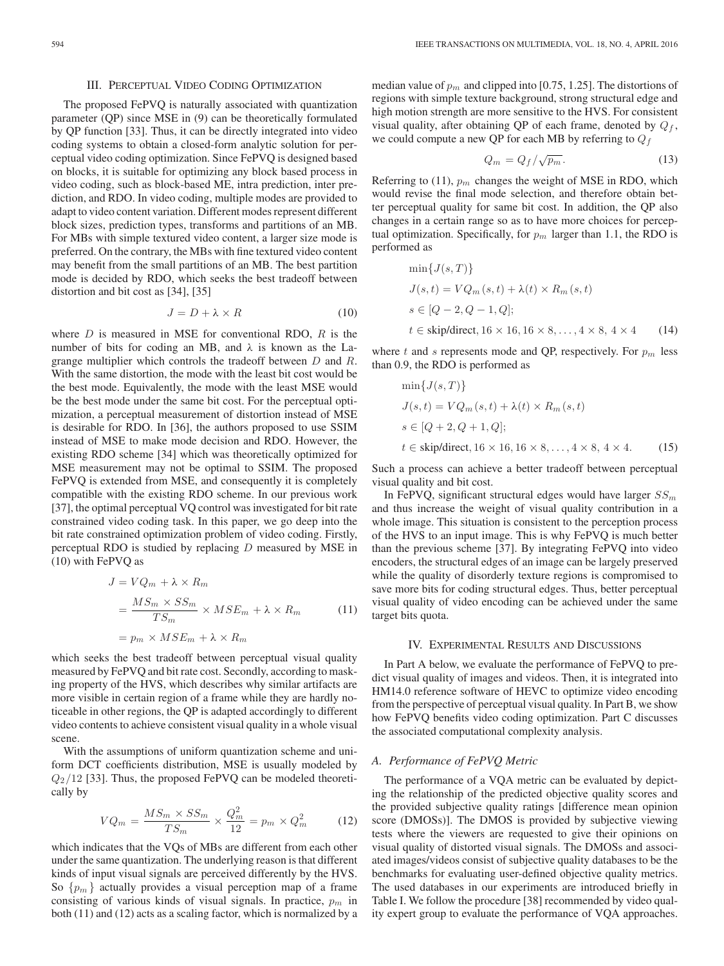#### III. PERCEPTUAL VIDEO CODING OPTIMIZATION

The proposed FePVQ is naturally associated with quantization parameter (QP) since MSE in (9) can be theoretically formulated by QP function [33]. Thus, it can be directly integrated into video coding systems to obtain a closed-form analytic solution for perceptual video coding optimization. Since FePVQ is designed based on blocks, it is suitable for optimizing any block based process in video coding, such as block-based ME, intra prediction, inter prediction, and RDO. In video coding, multiple modes are provided to adapt to video content variation. Different modes represent different block sizes, prediction types, transforms and partitions of an MB. For MBs with simple textured video content, a larger size mode is preferred. On the contrary, the MBs with fine textured video content may benefit from the small partitions of an MB. The best partition mode is decided by RDO, which seeks the best tradeoff between distortion and bit cost as [34], [35]

$$
J = D + \lambda \times R \tag{10}
$$

where  $D$  is measured in MSE for conventional RDO,  $R$  is the number of bits for coding an MB, and  $\lambda$  is known as the Lagrange multiplier which controls the tradeoff between D and R. With the same distortion, the mode with the least bit cost would be the best mode. Equivalently, the mode with the least MSE would be the best mode under the same bit cost. For the perceptual optimization, a perceptual measurement of distortion instead of MSE is desirable for RDO. In [36], the authors proposed to use SSIM instead of MSE to make mode decision and RDO. However, the existing RDO scheme [34] which was theoretically optimized for MSE measurement may not be optimal to SSIM. The proposed FePVQ is extended from MSE, and consequently it is completely compatible with the existing RDO scheme. In our previous work [37], the optimal perceptual VQ control was investigated for bit rate constrained video coding task. In this paper, we go deep into the bit rate constrained optimization problem of video coding. Firstly, perceptual RDO is studied by replacing  $D$  measured by MSE in (10) with FePVQ as

$$
J = VQ_m + \lambda \times R_m
$$
  
= 
$$
\frac{MS_m \times SS_m}{TS_m} \times MSE_m + \lambda \times R_m
$$
 (11)  
= 
$$
p_m \times MSE_m + \lambda \times R_m
$$

which seeks the best tradeoff between perceptual visual quality measured by FePVQ and bit rate cost. Secondly, according to masking property of the HVS, which describes why similar artifacts are more visible in certain region of a frame while they are hardly noticeable in other regions, the QP is adapted accordingly to different video contents to achieve consistent visual quality in a whole visual scene.

With the assumptions of uniform quantization scheme and uniform DCT coefficients distribution, MSE is usually modeled by  $Q_2/12$  [33]. Thus, the proposed FePVQ can be modeled theoretically by

$$
VQ_m = \frac{MS_m \times SS_m}{TS_m} \times \frac{Q_m^2}{12} = p_m \times Q_m^2 \tag{12}
$$

which indicates that the VQs of MBs are different from each other under the same quantization. The underlying reason is that different kinds of input visual signals are perceived differently by the HVS. So  $\{p_m\}$  actually provides a visual perception map of a frame consisting of various kinds of visual signals. In practice,  $p_m$  in both (11) and (12) acts as a scaling factor, which is normalized by a median value of  $p_m$  and clipped into [0.75, 1.25]. The distortions of regions with simple texture background, strong structural edge and high motion strength are more sensitive to the HVS. For consistent visual quality, after obtaining QP of each frame, denoted by  $Q_f$ , we could compute a new QP for each MB by referring to  $Q_f$ 

$$
Q_m = Q_f / \sqrt{p_m}.
$$
 (13)

Referring to (11),  $p_m$  changes the weight of MSE in RDO, which would revise the final mode selection, and therefore obtain better perceptual quality for same bit cost. In addition, the QP also changes in a certain range so as to have more choices for perceptual optimization. Specifically, for  $p_m$  larger than 1.1, the RDO is performed as

$$
\min\{J(s,T)\}
$$
  
\n
$$
J(s,t) = VQ_m(s,t) + \lambda(t) \times R_m(s,t)
$$
  
\n
$$
s \in [Q-2, Q-1, Q];
$$
  
\n
$$
t \in \text{skip/direct}, 16 \times 16, 16 \times 8, ..., 4 \times 8, 4 \times 4
$$
 (14)

where t and s represents mode and QP, respectively. For  $p_m$  less than 0.9, the RDO is performed as

$$
\min\{J(s,T)\}
$$
  
\n
$$
J(s,t) = VQ_m(s,t) + \lambda(t) \times R_m(s,t)
$$
  
\n
$$
s \in [Q+2, Q+1, Q];
$$
  
\n
$$
t \in \text{skip/direct}, 16 \times 16, 16 \times 8, ..., 4 \times 8, 4 \times 4.
$$
 (15)

Such a process can achieve a better tradeoff between perceptual visual quality and bit cost.

In FePVQ, significant structural edges would have larger  $SS_m$ and thus increase the weight of visual quality contribution in a whole image. This situation is consistent to the perception process of the HVS to an input image. This is why FePVQ is much better than the previous scheme [37]. By integrating FePVQ into video encoders, the structural edges of an image can be largely preserved while the quality of disorderly texture regions is compromised to save more bits for coding structural edges. Thus, better perceptual visual quality of video encoding can be achieved under the same target bits quota.

## IV. EXPERIMENTAL RESULTS AND DISCUSSIONS

In Part A below, we evaluate the performance of FePVQ to predict visual quality of images and videos. Then, it is integrated into HM14.0 reference software of HEVC to optimize video encoding from the perspective of perceptual visual quality. In Part B, we show how FePVQ benefits video coding optimization. Part C discusses the associated computational complexity analysis.

## *A. Performance of FePVQ Metric*

The performance of a VQA metric can be evaluated by depicting the relationship of the predicted objective quality scores and the provided subjective quality ratings [difference mean opinion score (DMOSs)]. The DMOS is provided by subjective viewing tests where the viewers are requested to give their opinions on visual quality of distorted visual signals. The DMOSs and associated images/videos consist of subjective quality databases to be the benchmarks for evaluating user-defined objective quality metrics. The used databases in our experiments are introduced briefly in Table I. We follow the procedure [38] recommended by video quality expert group to evaluate the performance of VQA approaches.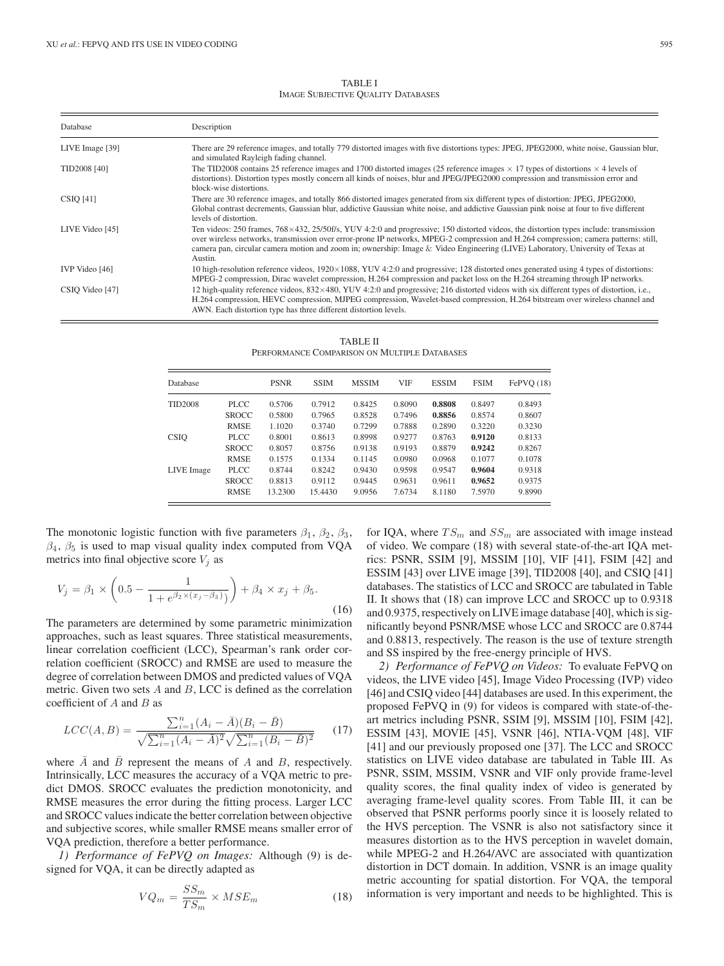TABLE I IMAGE SUBJECTIVE QUALITY DATABASES

| Database        | Description                                                                                                                                                                                                                                                                                                                                                                                                                              |  |  |  |  |  |  |  |
|-----------------|------------------------------------------------------------------------------------------------------------------------------------------------------------------------------------------------------------------------------------------------------------------------------------------------------------------------------------------------------------------------------------------------------------------------------------------|--|--|--|--|--|--|--|
| LIVE Image [39] | There are 29 reference images, and totally 779 distorted images with five distortions types: JPEG, JPEG2000, white noise, Gaussian blur,<br>and simulated Rayleigh fading channel.                                                                                                                                                                                                                                                       |  |  |  |  |  |  |  |
| TID2008 [40]    | The TID2008 contains 25 reference images and 1700 distorted images (25 reference images $\times$ 17 types of distortions $\times$ 4 levels of<br>distortions). Distortion types mostly concern all kinds of noises, blur and JPEG/JPEG2000 compression and transmission error and<br>block-wise distortions.                                                                                                                             |  |  |  |  |  |  |  |
| $CSIQ$ [41]     | There are 30 reference images, and totally 866 distorted images generated from six different types of distortion: JPEG, JPEG2000,<br>Global contrast decrements, Gaussian blur, addictive Gaussian white noise, and addictive Gaussian pink noise at four to five different<br>levels of distortion.                                                                                                                                     |  |  |  |  |  |  |  |
| LIVE Video [45] | Ten videos: 250 frames, $768 \times 432$ , $25/50$ f/s, YUV 4:2:0 and progressive; 150 distorted videos, the distortion types include: transmission<br>over wireless networks, transmission over error-prone IP networks, MPEG-2 compression and H.264 compression; camera patterns: still,<br>camera pan, circular camera motion and zoom in; ownership: Image & Video Engineering (LIVE) Laboratory, University of Texas at<br>Austin. |  |  |  |  |  |  |  |
| IVP Video [46]  | 10 high-resolution reference videos, $1920 \times 1088$ , YUV 4:2:0 and progressive; 128 distorted ones generated using 4 types of distortions:<br>MPEG-2 compression, Dirac wavelet compression, H.264 compression and packet loss on the H.264 streaming through IP networks.                                                                                                                                                          |  |  |  |  |  |  |  |
| CSIQ Video [47] | 12 high-quality reference videos, $832 \times 480$ , YUV 4:2:0 and progressive; 216 distorted videos with six different types of distortion, i.e.,<br>H.264 compression, HEVC compression, MJPEG compression, Wavelet-based compression, H.264 bitstream over wireless channel and<br>AWN. Each distortion type has three different distortion levels.                                                                                   |  |  |  |  |  |  |  |

TABLE II PERFORMANCE COMPARISON ON MULTIPLE DATABASES

| Database       |              | <b>PSNR</b> | <b>SSIM</b> | <b>MSSIM</b> | <b>VIF</b> | <b>ESSIM</b> | <b>FSIM</b> | FePVO (18) |
|----------------|--------------|-------------|-------------|--------------|------------|--------------|-------------|------------|
| <b>TID2008</b> | PLCC.        | 0.5706      | 0.7912      | 0.8425       | 0.8090     | 0.8808       | 0.8497      | 0.8493     |
|                | <b>SROCC</b> | 0.5800      | 0.7965      | 0.8528       | 0.7496     | 0.8856       | 0.8574      | 0.8607     |
|                | <b>RMSE</b>  | 1.1020      | 0.3740      | 0.7299       | 0.7888     | 0.2890       | 0.3220      | 0.3230     |
| <b>CSIO</b>    | PLCC.        | 0.8001      | 0.8613      | 0.8998       | 0.9277     | 0.8763       | 0.9120      | 0.8133     |
|                | <b>SROCC</b> | 0.8057      | 0.8756      | 0.9138       | 0.9193     | 0.8879       | 0.9242      | 0.8267     |
|                | <b>RMSE</b>  | 0.1575      | 0.1334      | 0.1145       | 0.0980     | 0.0968       | 0.1077      | 0.1078     |
| LIVE Image     | PLCC.        | 0.8744      | 0.8242      | 0.9430       | 0.9598     | 0.9547       | 0.9604      | 0.9318     |
|                | <b>SROCC</b> | 0.8813      | 0.9112      | 0.9445       | 0.9631     | 0.9611       | 0.9652      | 0.9375     |
|                | <b>RMSE</b>  | 13.2300     | 15.4430     | 9.0956       | 7.6734     | 8.1180       | 7.5970      | 9.8990     |

The monotonic logistic function with five parameters  $\beta_1$ ,  $\beta_2$ ,  $\beta_3$ ,  $\beta_4$ ,  $\beta_5$  is used to map visual quality index computed from VQA metrics into final objective score  $V_i$  as

$$
V_j = \beta_1 \times \left(0.5 - \frac{1}{1 + e^{\beta_2 \times (x_j - \beta_3)}}\right) + \beta_4 \times x_j + \beta_5.
$$
\n(16)

The parameters are determined by some parametric minimization approaches, such as least squares. Three statistical measurements, linear correlation coefficient (LCC), Spearman's rank order correlation coefficient (SROCC) and RMSE are used to measure the degree of correlation between DMOS and predicted values of VQA metric. Given two sets A and B, LCC is defined as the correlation coefficient of  $A$  and  $B$  as

$$
LCC(A, B) = \frac{\sum_{i=1}^{n} (A_i - \bar{A})(B_i - \bar{B})}{\sqrt{\sum_{i=1}^{n} (A_i - \bar{A})^2} \sqrt{\sum_{i=1}^{n} (B_i - \bar{B})^2}}
$$
(17)

where  $\overline{A}$  and  $\overline{B}$  represent the means of A and B, respectively. Intrinsically, LCC measures the accuracy of a VQA metric to predict DMOS. SROCC evaluates the prediction monotonicity, and RMSE measures the error during the fitting process. Larger LCC and SROCC values indicate the better correlation between objective and subjective scores, while smaller RMSE means smaller error of VQA prediction, therefore a better performance.

*1) Performance of FePVQ on Images:* Although (9) is designed for VQA, it can be directly adapted as

$$
VQ_m = \frac{SS_m}{TS_m} \times MSE_m \tag{18}
$$

for IQA, where  $TS_m$  and  $SS_m$  are associated with image instead of video. We compare (18) with several state-of-the-art IQA metrics: PSNR, SSIM [9], MSSIM [10], VIF [41], FSIM [42] and ESSIM [43] over LIVE image [39], TID2008 [40], and CSIQ [41] databases. The statistics of LCC and SROCC are tabulated in Table II. It shows that (18) can improve LCC and SROCC up to 0.9318 and 0.9375, respectively on LIVE image database [40], which is significantly beyond PSNR/MSE whose LCC and SROCC are 0.8744 and 0.8813, respectively. The reason is the use of texture strength and SS inspired by the free-energy principle of HVS.

*2) Performance of FePVQ on Videos:* To evaluate FePVQ on videos, the LIVE video [45], Image Video Processing (IVP) video [46] and CSIQ video [44] databases are used. In this experiment, the proposed FePVQ in (9) for videos is compared with state-of-theart metrics including PSNR, SSIM [9], MSSIM [10], FSIM [42], ESSIM [43], MOVIE [45], VSNR [46], NTIA-VQM [48], VIF [41] and our previously proposed one [37]. The LCC and SROCC statistics on LIVE video database are tabulated in Table III. As PSNR, SSIM, MSSIM, VSNR and VIF only provide frame-level quality scores, the final quality index of video is generated by averaging frame-level quality scores. From Table III, it can be observed that PSNR performs poorly since it is loosely related to the HVS perception. The VSNR is also not satisfactory since it measures distortion as to the HVS perception in wavelet domain, while MPEG-2 and H.264/AVC are associated with quantization distortion in DCT domain. In addition, VSNR is an image quality metric accounting for spatial distortion. For VQA, the temporal information is very important and needs to be highlighted. This is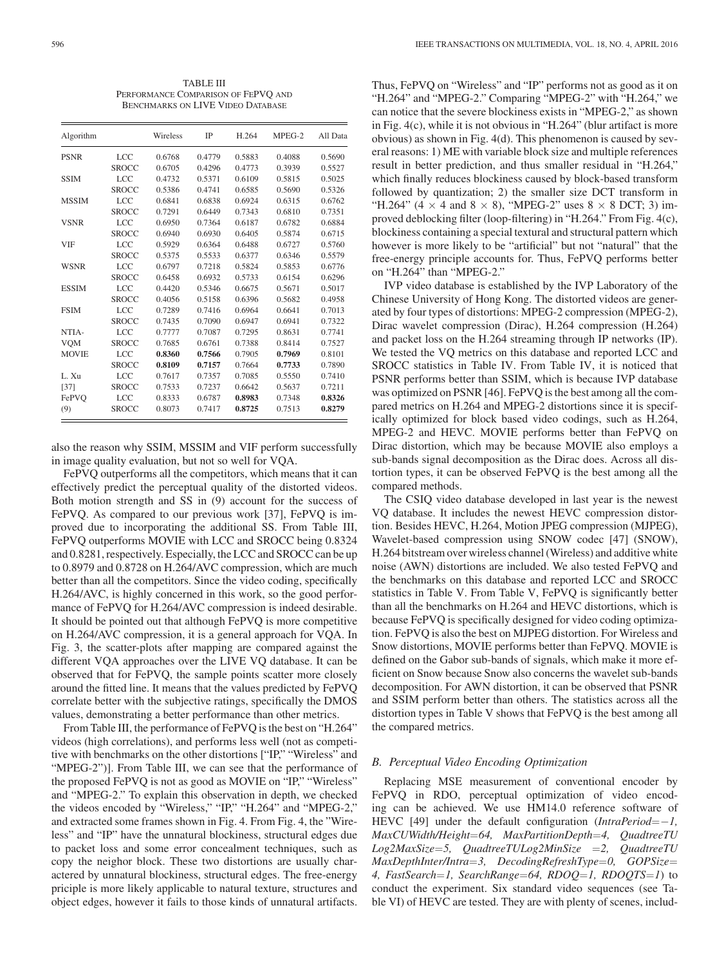TABLE III PERFORMANCE COMPARISON OF FEPVO AND BENCHMARKS ON LIVE VIDEO DATABASE

| Algorithm    |              | Wireless | <b>IP</b> | H.264  | MPEG-2 | All Data |
|--------------|--------------|----------|-----------|--------|--------|----------|
| <b>PSNR</b>  | <b>LCC</b>   | 0.6768   | 0.4779    | 0.5883 | 0.4088 | 0.5690   |
|              | <b>SROCC</b> | 0.6705   | 0.4296    | 0.4773 | 0.3939 | 0.5527   |
| <b>SSIM</b>  | <b>LCC</b>   | 0.4732   | 0.5371    | 0.6109 | 0.5815 | 0.5025   |
|              | <b>SROCC</b> | 0.5386   | 0.4741    | 0.6585 | 0.5690 | 0.5326   |
| <b>MSSIM</b> | LCC          | 0.6841   | 0.6838    | 0.6924 | 0.6315 | 0.6762   |
|              | <b>SROCC</b> | 0.7291   | 0.6449    | 0.7343 | 0.6810 | 0.7351   |
| <b>VSNR</b>  | LCC.         | 0.6950   | 0.7364    | 0.6187 | 0.6782 | 0.6884   |
|              | <b>SROCC</b> | 0.6940   | 0.6930    | 0.6405 | 0.5874 | 0.6715   |
| <b>VIF</b>   | <b>LCC</b>   | 0.5929   | 0.6364    | 0.6488 | 0.6727 | 0.5760   |
|              | <b>SROCC</b> | 0.5375   | 0.5533    | 0.6377 | 0.6346 | 0.5579   |
| <b>WSNR</b>  | <b>LCC</b>   | 0.6797   | 0.7218    | 0.5824 | 0.5853 | 0.6776   |
|              | <b>SROCC</b> | 0.6458   | 0.6932    | 0.5733 | 0.6154 | 0.6296   |
| <b>ESSIM</b> | LCC          | 0.4420   | 0.5346    | 0.6675 | 0.5671 | 0.5017   |
|              | <b>SROCC</b> | 0.4056   | 0.5158    | 0.6396 | 0.5682 | 0.4958   |
| <b>FSIM</b>  | <b>LCC</b>   | 0.7289   | 0.7416    | 0.6964 | 0.6641 | 0.7013   |
|              | <b>SROCC</b> | 0.7435   | 0.7090    | 0.6947 | 0.6941 | 0.7322   |
| NTIA-        | LCC.         | 0.7777   | 0.7087    | 0.7295 | 0.8631 | 0.7741   |
| <b>VQM</b>   | <b>SROCC</b> | 0.7685   | 0.6761    | 0.7388 | 0.8414 | 0.7527   |
| <b>MOVIE</b> | LCC.         | 0.8360   | 0.7566    | 0.7905 | 0.7969 | 0.8101   |
|              | <b>SROCC</b> | 0.8109   | 0.7157    | 0.7664 | 0.7733 | 0.7890   |
| L. Xu        | LCC.         | 0.7617   | 0.7357    | 0.7085 | 0.5550 | 0.7410   |
| [37]         | <b>SROCC</b> | 0.7533   | 0.7237    | 0.6642 | 0.5637 | 0.7211   |
| FePVO        | <b>LCC</b>   | 0.8333   | 0.6787    | 0.8983 | 0.7348 | 0.8326   |
| (9)          | <b>SROCC</b> | 0.8073   | 0.7417    | 0.8725 | 0.7513 | 0.8279   |

also the reason why SSIM, MSSIM and VIF perform successfully in image quality evaluation, but not so well for VQA.

FePVQ outperforms all the competitors, which means that it can effectively predict the perceptual quality of the distorted videos. Both motion strength and SS in (9) account for the success of FePVQ. As compared to our previous work [37], FePVQ is improved due to incorporating the additional SS. From Table III, FePVQ outperforms MOVIE with LCC and SROCC being 0.8324 and 0.8281, respectively. Especially, the LCC and SROCC can be up to 0.8979 and 0.8728 on H.264/AVC compression, which are much better than all the competitors. Since the video coding, specifically H.264/AVC, is highly concerned in this work, so the good performance of FePVQ for H.264/AVC compression is indeed desirable. It should be pointed out that although FePVQ is more competitive on H.264/AVC compression, it is a general approach for VQA. In Fig. 3, the scatter-plots after mapping are compared against the different VQA approaches over the LIVE VQ database. It can be observed that for FePVQ, the sample points scatter more closely around the fitted line. It means that the values predicted by FePVQ correlate better with the subjective ratings, specifically the DMOS values, demonstrating a better performance than other metrics.

From Table III, the performance of FePVQ is the best on "H.264" videos (high correlations), and performs less well (not as competitive with benchmarks on the other distortions ["IP," "Wireless" and "MPEG-2")]. From Table III, we can see that the performance of the proposed FePVQ is not as good as MOVIE on "IP," "Wireless" and "MPEG-2." To explain this observation in depth, we checked the videos encoded by "Wireless," "IP," "H.264" and "MPEG-2," and extracted some frames shown in Fig. 4. From Fig. 4, the "Wireless" and "IP" have the unnatural blockiness, structural edges due to packet loss and some error concealment techniques, such as copy the neighor block. These two distortions are usually charactered by unnatural blockiness, structural edges. The free-energy priciple is more likely applicable to natural texture, structures and object edges, however it fails to those kinds of unnatural artifacts.

Thus, FePVQ on "Wireless" and "IP" performs not as good as it on "H.264" and "MPEG-2." Comparing "MPEG-2" with "H.264," we can notice that the severe blockiness exists in "MPEG-2," as shown in Fig. 4(c), while it is not obvious in "H.264" (blur artifact is more obvious) as shown in Fig. 4(d). This phenomenon is caused by several reasons: 1) ME with variable block size and multiple references result in better prediction, and thus smaller residual in "H.264," which finally reduces blockiness caused by block-based transform followed by quantization; 2) the smaller size DCT transform in "H.264" (4  $\times$  4 and 8  $\times$  8), "MPEG-2" uses 8  $\times$  8 DCT; 3) improved deblocking filter (loop-filtering) in "H.264." From Fig. 4(c), blockiness containing a special textural and structural pattern which however is more likely to be "artificial" but not "natural" that the free-energy principle accounts for. Thus, FePVQ performs better on "H.264" than "MPEG-2."

IVP video database is established by the IVP Laboratory of the Chinese University of Hong Kong. The distorted videos are generated by four types of distortions: MPEG-2 compression (MPEG-2), Dirac wavelet compression (Dirac), H.264 compression (H.264) and packet loss on the H.264 streaming through IP networks (IP). We tested the VQ metrics on this database and reported LCC and SROCC statistics in Table IV. From Table IV, it is noticed that PSNR performs better than SSIM, which is because IVP database was optimized on PSNR [46]. FePVQ is the best among all the compared metrics on H.264 and MPEG-2 distortions since it is specifically optimized for block based video codings, such as H.264, MPEG-2 and HEVC. MOVIE performs better than FePVQ on Dirac distortion, which may be because MOVIE also employs a sub-bands signal decomposition as the Dirac does. Across all distortion types, it can be observed FePVQ is the best among all the compared methods.

The CSIQ video database developed in last year is the newest VQ database. It includes the newest HEVC compression distortion. Besides HEVC, H.264, Motion JPEG compression (MJPEG), Wavelet-based compression using SNOW codec [47] (SNOW), H.264 bitstream over wireless channel (Wireless) and additive white noise (AWN) distortions are included. We also tested FePVQ and the benchmarks on this database and reported LCC and SROCC statistics in Table V. From Table V, FePVQ is significantly better than all the benchmarks on H.264 and HEVC distortions, which is because FePVQ is specifically designed for video coding optimization. FePVQ is also the best on MJPEG distortion. For Wireless and Snow distortions, MOVIE performs better than FePVQ. MOVIE is defined on the Gabor sub-bands of signals, which make it more efficient on Snow because Snow also concerns the wavelet sub-bands decomposition. For AWN distortion, it can be observed that PSNR and SSIM perform better than others. The statistics across all the distortion types in Table V shows that FePVQ is the best among all the compared metrics.

## *B. Perceptual Video Encoding Optimization*

Replacing MSE measurement of conventional encoder by FePVQ in RDO, perceptual optimization of video encoding can be achieved. We use HM14.0 reference software of HEVC [49] under the default configuration (*IntraPeriod*=−*1, MaxCUWidth/Height*=*64, MaxPartitionDepth*=*4, QuadtreeTU Log2MaxSize*=*5, QuadtreeTULog2MinSize* =*2, QuadtreeTU MaxDepthInter/Intra*=*3, DecodingRefreshType*=*0, GOPSize*= *4, FastSearch*=*1, SearchRange*=*64, RDOQ*=*1, RDOQTS*=*1*) to conduct the experiment. Six standard video sequences (see Table VI) of HEVC are tested. They are with plenty of scenes, includ-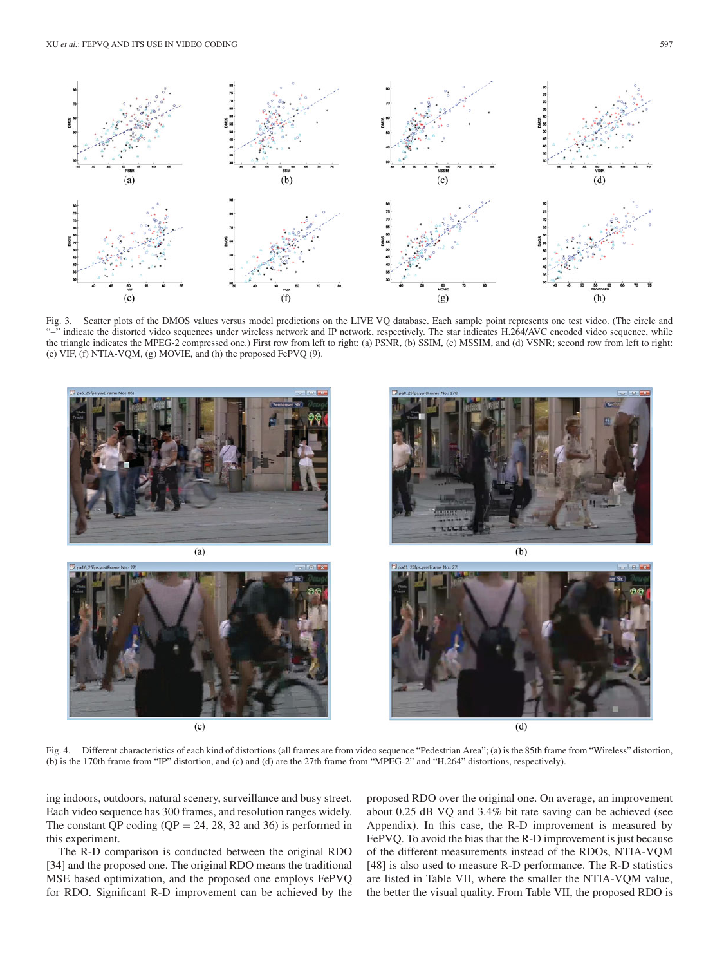

Fig. 3. Scatter plots of the DMOS values versus model predictions on the LIVE VQ database. Each sample point represents one test video. (The circle and "+" indicate the distorted video sequences under wireless network and IP network, respectively. The star indicates H.264/AVC encoded video sequence, while the triangle indicates the MPEG-2 compressed one.) First row from left to right: (a) PSNR, (b) SSIM, (c) MSSIM, and (d) VSNR; second row from left to right: (e) VIF, (f) NTIA-VQM, (g) MOVIE, and (h) the proposed FePVQ (9).



Fig. 4. Different characteristics of each kind of distortions (all frames are from video sequence "Pedestrian Area"; (a) is the 85th frame from "Wireless" distortion, (b) is the 170th frame from "IP" distortion, and (c) and (d) are the 27th frame from "MPEG-2" and "H.264" distortions, respectively).

ing indoors, outdoors, natural scenery, surveillance and busy street. Each video sequence has 300 frames, and resolution ranges widely. The constant QP coding ( $QP = 24$ , 28, 32 and 36) is performed in this experiment.

The R-D comparison is conducted between the original RDO [34] and the proposed one. The original RDO means the traditional MSE based optimization, and the proposed one employs FePVQ for RDO. Significant R-D improvement can be achieved by the

proposed RDO over the original one. On average, an improvement about 0.25 dB VQ and 3.4% bit rate saving can be achieved (see Appendix). In this case, the R-D improvement is measured by FePVQ. To avoid the bias that the R-D improvement is just because of the different measurements instead of the RDOs, NTIA-VQM [48] is also used to measure R-D performance. The R-D statistics are listed in Table VII, where the smaller the NTIA-VQM value, the better the visual quality. From Table VII, the proposed RDO is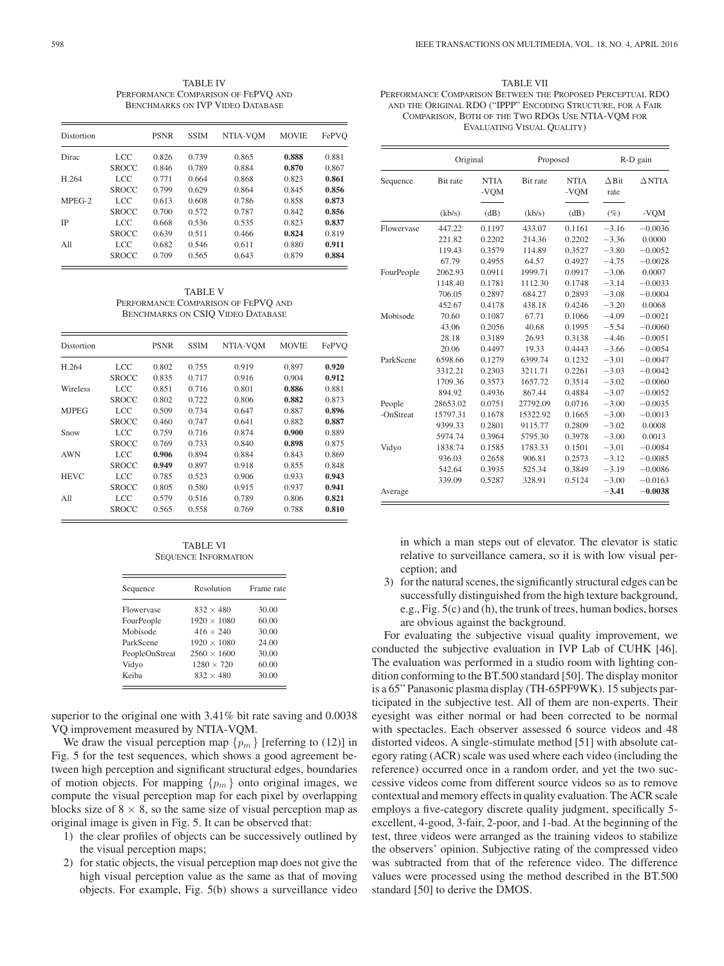TABLE IV PERFORMANCE COMPARISON OF FEPVO AND BENCHMARKS ON IVP VIDEO DATABASE

| Distortion |              | <b>PSNR</b> | <b>SSIM</b> | NTIA-VOM | <b>MOVIE</b> | FePVO |
|------------|--------------|-------------|-------------|----------|--------------|-------|
| Dirac      | LCC          | 0.826       | 0.739       | 0.865    | 0.888        | 0.881 |
|            | <b>SROCC</b> | 0.846       | 0.789       | 0.884    | 0.870        | 0.867 |
| H.264      | LCC.         | 0.771       | 0.664       | 0.868    | 0.823        | 0.861 |
|            | <b>SROCC</b> | 0.799       | 0.629       | 0.864    | 0.845        | 0.856 |
| $MPEG-2$   | LCC.         | 0.613       | 0.608       | 0.786    | 0.858        | 0.873 |
|            | <b>SROCC</b> | 0.700       | 0.572       | 0.787    | 0.842        | 0.856 |
| <b>IP</b>  | LCC.         | 0.668       | 0.536       | 0.535    | 0.823        | 0.837 |
|            | <b>SROCC</b> | 0.639       | 0.511       | 0.466    | 0.824        | 0.819 |
| All        | LCC.         | 0.682       | 0.546       | 0.611    | 0.880        | 0.911 |
|            | <b>SROCC</b> | 0.709       | 0.565       | 0.643    | 0.879        | 0.884 |

TABLE V PERFORMANCE COMPARISON OF FEPVQ AND BENCHMARKS ON CSIQ VIDEO DATABASE

| Distortion   |              | <b>PSNR</b> | <b>SSIM</b> | NTIA-VOM | <b>MOVIE</b> | FePVO |
|--------------|--------------|-------------|-------------|----------|--------------|-------|
| H.264        | <b>LCC</b>   | 0.802       | 0.755       | 0.919    | 0.897        | 0.920 |
|              | <b>SROCC</b> | 0.835       | 0.717       | 0.916    | 0.904        | 0.912 |
| Wireless     | <b>LCC</b>   | 0.851       | 0.716       | 0.801    | 0.886        | 0.881 |
|              | <b>SROCC</b> | 0.802       | 0.722       | 0.806    | 0.882        | 0.873 |
| <b>MJPEG</b> | LCC          | 0.509       | 0.734       | 0.647    | 0.887        | 0.896 |
|              | <b>SROCC</b> | 0.460       | 0.747       | 0.641    | 0.882        | 0.887 |
| Snow         | LCC          | 0.759       | 0.716       | 0.874    | 0.900        | 0.889 |
|              | <b>SROCC</b> | 0.769       | 0.733       | 0.840    | 0.898        | 0.875 |
| <b>AWN</b>   | LCC.         | 0.906       | 0.894       | 0.884    | 0.843        | 0.869 |
|              | <b>SROCC</b> | 0.949       | 0.897       | 0.918    | 0.855        | 0.848 |
| <b>HEVC</b>  | LCC          | 0.785       | 0.523       | 0.906    | 0.933        | 0.943 |
|              | <b>SROCC</b> | 0.805       | 0.580       | 0.915    | 0.937        | 0.941 |
| All          | LCC          | 0.579       | 0.516       | 0.789    | 0.806        | 0.821 |
|              | <b>SROCC</b> | 0.565       | 0.558       | 0.769    | 0.788        | 0.810 |

TABLE VI SEQUENCE INFORMATION

| Sequence       | Resolution         | Frame rate |  |  |
|----------------|--------------------|------------|--|--|
| Floweryase     | $832 \times 480$   | 30.00      |  |  |
| FourPeople     | $1920 \times 1080$ | 60.00      |  |  |
| Mobisode       | $416 \times 240$   | 30.00      |  |  |
| ParkScene      | $1920 \times 1080$ | 24.00      |  |  |
| PeopleOnStreat | $2560 \times 1600$ | 30.00      |  |  |
| Vidyo          | $1280 \times 720$  | 60.00      |  |  |
| Keiba          | $832 \times 480$   | 30.00      |  |  |

superior to the original one with 3.41% bit rate saving and 0.0038 VQ improvement measured by NTIA-VQM.

We draw the visual perception map  $\{p_m\}$  [referring to (12)] in Fig. 5 for the test sequences, which shows a good agreement between high perception and significant structural edges, boundaries of motion objects. For mapping  $\{p_m\}$  onto original images, we compute the visual perception map for each pixel by overlapping blocks size of  $8 \times 8$ , so the same size of visual perception map as original image is given in Fig. 5. It can be observed that:

- 1) the clear profiles of objects can be successively outlined by the visual perception maps;
- 2) for static objects, the visual perception map does not give the high visual perception value as the same as that of moving objects. For example, Fig. 5(b) shows a surveillance video

TABLE VII PERFORMANCE COMPARISON BETWEEN THE PROPOSED PERCEPTUAL RDO AND THE ORIGINAL RDO ("IPPP" ENCODING STRUCTURE, FOR A FAIR COMPARISON, BOTH OF THE TWO RDOS USE NTIA-VQM FOR EVALUATING VISUAL QUALITY)

|            | Original |                     | Proposed |                     |                      | R-D gain          |
|------------|----------|---------------------|----------|---------------------|----------------------|-------------------|
| Sequence   | Bit rate | <b>NTIA</b><br>-VQM | Bit rate | <b>NTIA</b><br>-VQM | $\Delta$ Bit<br>rate | $\triangle N TIA$ |
|            | (kb/s)   | (dB)                | (kb/s)   | (dB)                | $(\%)$               | -VQM              |
| Flowervase | 447.22   | 0.1197              | 433.07   | 0.1161              | $-3.16$              | $-0.0036$         |
|            | 221.82   | 0.2202              | 214.36   | 0.2202              | $-3.36$              | 0.0000            |
|            | 119.43   | 0.3579              | 114.89   | 0.3527              | $-3.80$              | $-0.0052$         |
|            | 67.79    | 0.4955              | 64.57    | 0.4927              | $-4.75$              | $-0.0028$         |
| FourPeople | 2062.93  | 0.0911              | 1999.71  | 0.0917              | $-3.06$              | 0.0007            |
|            | 1148.40  | 0.1781              | 1112.30  | 0.1748              | $-3.14$              | $-0.0033$         |
|            | 706.05   | 0.2897              | 684.27   | 0.2893              | $-3.08$              | $-0.0004$         |
|            | 452.67   | 0.4178              | 438.18   | 0.4246              | $-3.20$              | 0.0068            |
| Mobisode   | 70.60    | 0.1087              | 67.71    | 0.1066              | $-4.09$              | $-0.0021$         |
|            | 43.06    | 0.2056              | 40.68    | 0.1995              | $-5.54$              | $-0.0060$         |
|            | 28.18    | 0.3189              | 26.93    | 0.3138              | $-4.46$              | $-0.0051$         |
|            | 20.06    | 0.4497              | 19.33    | 0.4443              | $-3.66$              | $-0.0054$         |
| ParkScene  | 6598.66  | 0.1279              | 6399.74  | 0.1232              | $-3.01$              | $-0.0047$         |
|            | 3312.21  | 0.2303              | 3211.71  | 0.2261              | $-3.03$              | $-0.0042$         |
|            | 1709.36  | 0.3573              | 1657.72  | 0.3514              | $-3.02$              | $-0.0060$         |
|            | 894.92   | 0.4936              | 867.44   | 0.4884              | $-3.07$              | $-0.0052$         |
| People     | 28653.02 | 0.0751              | 27792.09 | 0.0716              | $-3.00$              | $-0.0035$         |
| -OnStreat  | 15797.31 | 0.1678              | 15322.92 | 0.1665              | $-3.00$              | $-0.0013$         |
|            | 9399.33  | 0.2801              | 9115.77  | 0.2809              | $-3.02$              | 0.0008            |
|            | 5974.74  | 0.3964              | 5795.30  | 0.3978              | $-3.00$              | 0.0013            |
| Vidyo      | 1838.74  | 0.1585              | 1783.33  | 0.1501              | $-3.01$              | $-0.0084$         |
|            | 936.03   | 0.2658              | 906.81   | 0.2573              | $-3.12$              | $-0.0085$         |
|            | 542.64   | 0.3935              | 525.34   | 0.3849              | $-3.19$              | $-0.0086$         |
|            | 339.09   | 0.5287              | 328.91   | 0.5124              | $-3.00$              | $-0.0163$         |
| Average    |          |                     |          |                     | $-3.41$              | $-0.0038$         |

in which a man steps out of elevator. The elevator is static relative to surveillance camera, so it is with low visual perception; and

3) for the natural scenes, the significantly structural edges can be successfully distinguished from the high texture background, e.g., Fig. 5(c) and (h), the trunk of trees, human bodies, horses are obvious against the background.

For evaluating the subjective visual quality improvement, we conducted the subjective evaluation in IVP Lab of CUHK [46]. The evaluation was performed in a studio room with lighting condition conforming to the BT.500 standard [50]. The display monitor is a 65" Panasonic plasma display (TH-65PF9WK). 15 subjects participated in the subjective test. All of them are non-experts. Their eyesight was either normal or had been corrected to be normal with spectacles. Each observer assessed 6 source videos and 48 distorted videos. A single-stimulate method [51] with absolute category rating (ACR) scale was used where each video (including the reference) occurred once in a random order, and yet the two successive videos come from different source videos so as to remove contextual and memory effects in quality evaluation. The ACR scale employs a five-category discrete quality judgment, specifically 5 excellent, 4-good, 3-fair, 2-poor, and 1-bad. At the beginning of the test, three videos were arranged as the training videos to stabilize the observers' opinion. Subjective rating of the compressed video was subtracted from that of the reference video. The difference values were processed using the method described in the BT.500 standard [50] to derive the DMOS.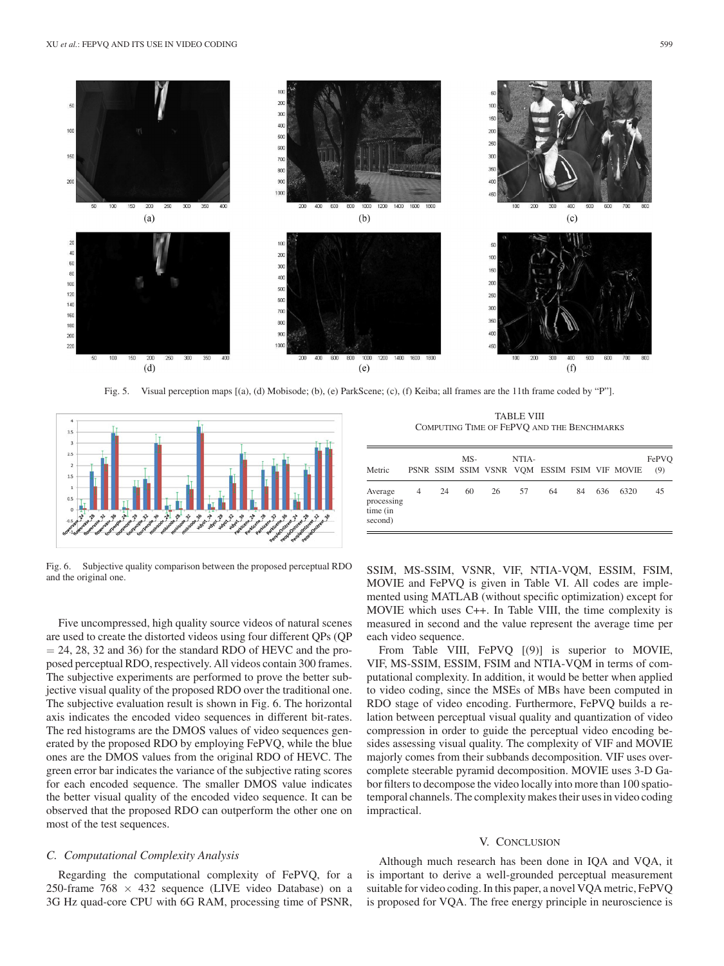



Fig. 5. Visual perception maps [(a), (d) Mobisode; (b), (e) ParkScene; (c), (f) Keiba; all frames are the 11th frame coded by "P"].



Fig. 6. Subjective quality comparison between the proposed perceptual RDO and the original one.

Five uncompressed, high quality source videos of natural scenes are used to create the distorted videos using four different QPs (QP  $= 24, 28, 32$  and 36) for the standard RDO of HEVC and the proposed perceptual RDO, respectively. All videos contain 300 frames. The subjective experiments are performed to prove the better subjective visual quality of the proposed RDO over the traditional one. The subjective evaluation result is shown in Fig. 6. The horizontal axis indicates the encoded video sequences in different bit-rates. The red histograms are the DMOS values of video sequences generated by the proposed RDO by employing FePVQ, while the blue ones are the DMOS values from the original RDO of HEVC. The green error bar indicates the variance of the subjective rating scores for each encoded sequence. The smaller DMOS value indicates the better visual quality of the encoded video sequence. It can be observed that the proposed RDO can outperform the other one on most of the test sequences.

## *C. Computational Complexity Analysis*

Regarding the computational complexity of FePVQ, for a 250-frame  $768 \times 432$  sequence (LIVE video Database) on a 3G Hz quad-core CPU with 6G RAM, processing time of PSNR,

TABLE VIII COMPUTING TIME OF FEPVQ AND THE BENCHMARKS

| Metric                                       |           |    | $MS-$ |    | NTIA- |    |    |     | PSNR SSIM SSIM VSNR VOM ESSIM FSIM VIF MOVIE | FePVO<br>(9) |
|----------------------------------------------|-----------|----|-------|----|-------|----|----|-----|----------------------------------------------|--------------|
| Average<br>processing<br>time (in<br>second) | $4 \quad$ | 24 | 60    | 26 | 57    | 64 | 84 | 636 | 6320                                         | 45           |

SSIM, MS-SSIM, VSNR, VIF, NTIA-VQM, ESSIM, FSIM, MOVIE and FePVQ is given in Table VI. All codes are implemented using MATLAB (without specific optimization) except for MOVIE which uses C++. In Table VIII, the time complexity is measured in second and the value represent the average time per each video sequence.

From Table VIII, FePVQ [(9)] is superior to MOVIE, VIF, MS-SSIM, ESSIM, FSIM and NTIA-VQM in terms of computational complexity. In addition, it would be better when applied to video coding, since the MSEs of MBs have been computed in RDO stage of video encoding. Furthermore, FePVQ builds a relation between perceptual visual quality and quantization of video compression in order to guide the perceptual video encoding besides assessing visual quality. The complexity of VIF and MOVIE majorly comes from their subbands decomposition. VIF uses overcomplete steerable pyramid decomposition. MOVIE uses 3-D Gabor filters to decompose the video locally into more than 100 spatiotemporal channels. The complexity makes their uses in video coding impractical.

# V. CONCLUSION

Although much research has been done in IQA and VQA, it is important to derive a well-grounded perceptual measurement suitable for video coding. In this paper, a novel VQA metric, FePVQ is proposed for VQA. The free energy principle in neuroscience is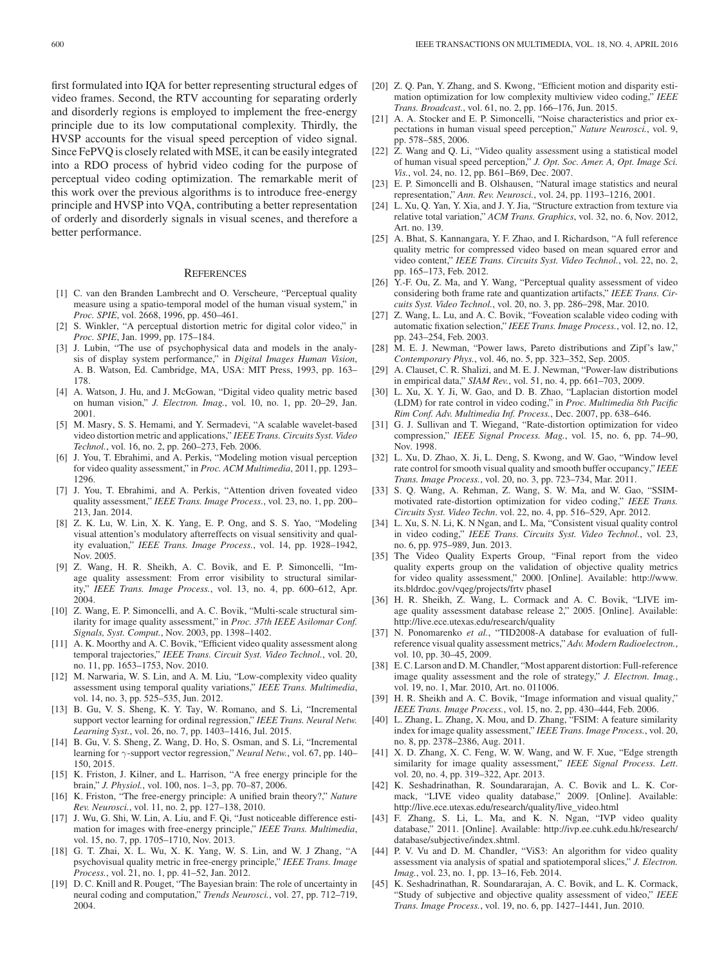first formulated into IQA for better representing structural edges of video frames. Second, the RTV accounting for separating orderly and disorderly regions is employed to implement the free-energy principle due to its low computational complexity. Thirdly, the HVSP accounts for the visual speed perception of video signal. Since FePVQ is closely related with MSE, it can be easily integrated into a RDO process of hybrid video coding for the purpose of perceptual video coding optimization. The remarkable merit of this work over the previous algorithms is to introduce free-energy principle and HVSP into VQA, contributing a better representation of orderly and disorderly signals in visual scenes, and therefore a better performance.

### **REFERENCES**

- [1] C. van den Branden Lambrecht and O. Verscheure, "Perceptual quality measure using a spatio-temporal model of the human visual system," in *Proc. SPIE*, vol. 2668, 1996, pp. 450–461.
- [2] S. Winkler, "A perceptual distortion metric for digital color video," in *Proc. SPIE*, Jan. 1999, pp. 175–184.
- [3] J. Lubin, "The use of psychophysical data and models in the analysis of display system performance," in *Digital Images Human Vision*, A. B. Watson, Ed. Cambridge, MA, USA: MIT Press, 1993, pp. 163– 178.
- [4] A. Watson, J. Hu, and J. McGowan, "Digital video quality metric based on human vision," *J. Electron. Imag.*, vol. 10, no. 1, pp. 20–29, Jan. 2001.
- [5] M. Masry, S. S. Hemami, and Y. Sermadevi, "A scalable wavelet-based video distortion metric and applications," *IEEE Trans. Circuits Syst. Video Technol.*, vol. 16, no. 2, pp. 260–273, Feb. 2006.
- [6] J. You, T. Ebrahimi, and A. Perkis, "Modeling motion visual perception for video quality assessment," in *Proc. ACM Multimedia*, 2011, pp. 1293– 1296.
- [7] J. You, T. Ebrahimi, and A. Perkis, "Attention driven foveated video quality assessment," *IEEE Trans. Image Process.*, vol. 23, no. 1, pp. 200– 213, Jan. 2014.
- [8] Z. K. Lu, W. Lin, X. K. Yang, E. P. Ong, and S. S. Yao, "Modeling visual attention's modulatory afterreffects on visual sensitivity and quality evaluation," *IEEE Trans. Image Process.*, vol. 14, pp. 1928–1942, Nov. 2005.
- [9] Z. Wang, H. R. Sheikh, A. C. Bovik, and E. P. Simoncelli, "Image quality assessment: From error visibility to structural similarity," *IEEE Trans. Image Process.*, vol. 13, no. 4, pp. 600–612, Apr. 2004.
- [10] Z. Wang, E. P. Simoncelli, and A. C. Bovik, "Multi-scale structural similarity for image quality assessment," in *Proc. 37th IEEE Asilomar Conf. Signals, Syst. Comput.*, Nov. 2003, pp. 1398–1402.
- [11] A. K. Moorthy and A. C. Bovik, "Efficient video quality assessment along temporal trajectories," *IEEE Trans. Circuit Syst. Video Technol.*, vol. 20, no. 11, pp. 1653–1753, Nov. 2010.
- [12] M. Narwaria, W. S. Lin, and A. M. Liu, "Low-complexity video quality assessment using temporal quality variations," *IEEE Trans. Multimedia*, vol. 14, no. 3, pp. 525–535, Jun. 2012.
- [13] B. Gu, V. S. Sheng, K. Y. Tay, W. Romano, and S. Li, "Incremental support vector learning for ordinal regression," *IEEE Trans. Neural Netw. Learning Syst.*, vol. 26, no. 7, pp. 1403–1416, Jul. 2015.
- [14] B. Gu, V. S. Sheng, Z. Wang, D. Ho, S. Osman, and S. Li, "Incremental learning for γ-support vector regression," *Neural Netw.*, vol. 67, pp. 140– 150, 2015.
- [15] K. Friston, J. Kilner, and L. Harrison, "A free energy principle for the brain," *J. Physiol.*, vol. 100, nos. 1–3, pp. 70–87, 2006.
- [16] K. Friston, "The free-energy principle: A unified brain theory?," *Nature Rev. Neurosci.*, vol. 11, no. 2, pp. 127–138, 2010.
- [17] J. Wu, G. Shi, W. Lin, A. Liu, and F. Qi, "Just noticeable difference estimation for images with free-energy principle," *IEEE Trans. Multimedia*, vol. 15, no. 7, pp. 1705–1710, Nov. 2013.
- [18] G. T. Zhai, X. L. Wu, X. K. Yang, W. S. Lin, and W. J Zhang, "A psychovisual quality metric in free-energy principle," *IEEE Trans. Image Process.*, vol. 21, no. 1, pp. 41–52, Jan. 2012.
- [19] D. C. Knill and R. Pouget, "The Bayesian brain: The role of uncertainty in neural coding and computation," *Trends Neurosci.*, vol. 27, pp. 712–719, 2004.
- [20] Z. Q. Pan, Y. Zhang, and S. Kwong, "Efficient motion and disparity estimation optimization for low complexity multiview video coding," *IEEE Trans. Broadcast.*, vol. 61, no. 2, pp. 166–176, Jun. 2015.
- [21] A. A. Stocker and E. P. Simoncelli, "Noise characteristics and prior expectations in human visual speed perception," *Nature Neurosci.*, vol. 9, pp. 578–585, 2006.
- [22] Z. Wang and Q. Li, "Video quality assessment using a statistical model of human visual speed perception," *J. Opt. Soc. Amer. A, Opt. Image Sci. Vis.*, vol. 24, no. 12, pp. B61–B69, Dec. 2007.
- [23] E. P. Simoncelli and B. Olshausen, "Natural image statistics and neural representation," *Ann. Rev. Neurosci.*, vol. 24, pp. 1193–1216, 2001.
- [24] L. Xu, Q. Yan, Y. Xia, and J. Y. Jia, "Structure extraction from texture via relative total variation," *ACM Trans. Graphics*, vol. 32, no. 6, Nov. 2012, Art. no. 139.
- [25] A. Bhat, S. Kannangara, Y. F. Zhao, and I. Richardson, "A full reference quality metric for compressed video based on mean squared error and video content," *IEEE Trans. Circuits Syst. Video Technol.*, vol. 22, no. 2, pp. 165–173, Feb. 2012.
- [26] Y.-F. Ou, Z. Ma, and Y. Wang, "Perceptual quality assessment of video considering both frame rate and quantization artifacts," *IEEE Trans. Circuits Syst. Video Technol.*, vol. 20, no. 3, pp. 286–298, Mar. 2010.
- [27] Z. Wang, L. Lu, and A. C. Bovik, "Foveation scalable video coding with automatic fixation selection," *IEEE Trans. Image Process.*, vol. 12, no. 12, pp. 243–254, Feb. 2003.
- [28] M. E. J. Newman, "Power laws, Pareto distributions and Zipf's law," *Contemporary Phys.*, vol. 46, no. 5, pp. 323–352, Sep. 2005.
- [29] A. Clauset, C. R. Shalizi, and M. E. J. Newman, "Power-law distributions in empirical data," *SIAM Rev.*, vol. 51, no. 4, pp. 661–703, 2009.
- [30] L. Xu, X. Y. Ji, W. Gao, and D. B. Zhao, "Laplacian distortion model (LDM) for rate control in video coding," in *Proc. Multimedia 8th Pacific Rim Conf. Adv. Multimedia Inf. Process.*, Dec. 2007, pp. 638–646.
- [31] G. J. Sullivan and T. Wiegand, "Rate-distortion optimization for video compression," *IEEE Signal Process. Mag.*, vol. 15, no. 6, pp. 74–90, Nov. 1998.
- [32] L. Xu, D. Zhao, X. Ji, L. Deng, S. Kwong, and W. Gao, "Window level rate control for smooth visual quality and smooth buffer occupancy," *IEEE Trans. Image Process.*, vol. 20, no. 3, pp. 723–734, Mar. 2011.
- [33] S. Q. Wang, A. Rehman, Z. Wang, S. W. Ma, and W. Gao, "SSIMmotivated rate-distortion optimization for video coding," *IEEE Trans. Circuits Syst. Video Techn*. vol. 22, no. 4, pp. 516–529, Apr. 2012.
- [34] L. Xu, S. N. Li, K. N Ngan, and L. Ma, "Consistent visual quality control in video coding," *IEEE Trans. Circuits Syst. Video Technol.*, vol. 23, no. 6, pp. 975–989, Jun. 2013.
- [35] The Video Quality Experts Group, "Final report from the video quality experts group on the validation of objective quality metrics for video quality assessment," 2000. [Online]. Available: http://www. its.bldrdoc.gov/vqeg/projects/frtv phaseI
- [36] H. R. Sheikh, Z. Wang, L. Cormack and A. C. Bovik, "LIVE image quality assessment database release 2," 2005. [Online]. Available: http://live.ece.utexas.edu/research/quality
- [37] N. Ponomarenko *et al.*, "TID2008-A database for evaluation of fullreference visual quality assessment metrics," *Adv. Modern Radioelectron.*, vol. 10, pp. 30–45, 2009.
- [38] E. C. Larson and D. M. Chandler, "Most apparent distortion: Full-reference image quality assessment and the role of strategy," *J. Electron. Imag.*, vol. 19, no. 1, Mar. 2010, Art. no. 011006.
- [39] H. R. Sheikh and A. C. Bovik, "Image information and visual quality," *IEEE Trans. Image Process.*, vol. 15, no. 2, pp. 430–444, Feb. 2006.
- [40] L. Zhang, L. Zhang, X. Mou, and D. Zhang, "FSIM: A feature similarity index for image quality assessment," *IEEE Trans. Image Process.*, vol. 20, no. 8, pp. 2378–2386, Aug. 2011.
- [41] X. D. Zhang, X. C. Feng, W. W. Wang, and W. F. Xue, "Edge strength similarity for image quality assessment," *IEEE Signal Process. Lett*. vol. 20, no. 4, pp. 319–322, Apr. 2013.
- [42] K. Seshadrinathan, R. Soundararajan, A. C. Bovik and L. K. Cormack, "LIVE video quality database," 2009. [Online]. Available: http://live.ece.utexas.edu/research/quality/live\_video.html
- [43] F. Zhang, S. Li, L. Ma, and K. N. Ngan, "IVP video quality database," 2011. [Online]. Available: http://ivp.ee.cuhk.edu.hk/research/ database/subjective/index.shtml.
- [44] P. V. Vu and D. M. Chandler, "ViS3: An algorithm for video quality assessment via analysis of spatial and spatiotemporal slices," *J. Electron. Imag.*, vol. 23, no. 1, pp. 13–16, Feb. 2014.
- [45] K. Seshadrinathan, R. Soundararajan, A. C. Bovik, and L. K. Cormack, "Study of subjective and objective quality assessment of video," *IEEE Trans. Image Process.*, vol. 19, no. 6, pp. 1427–1441, Jun. 2010.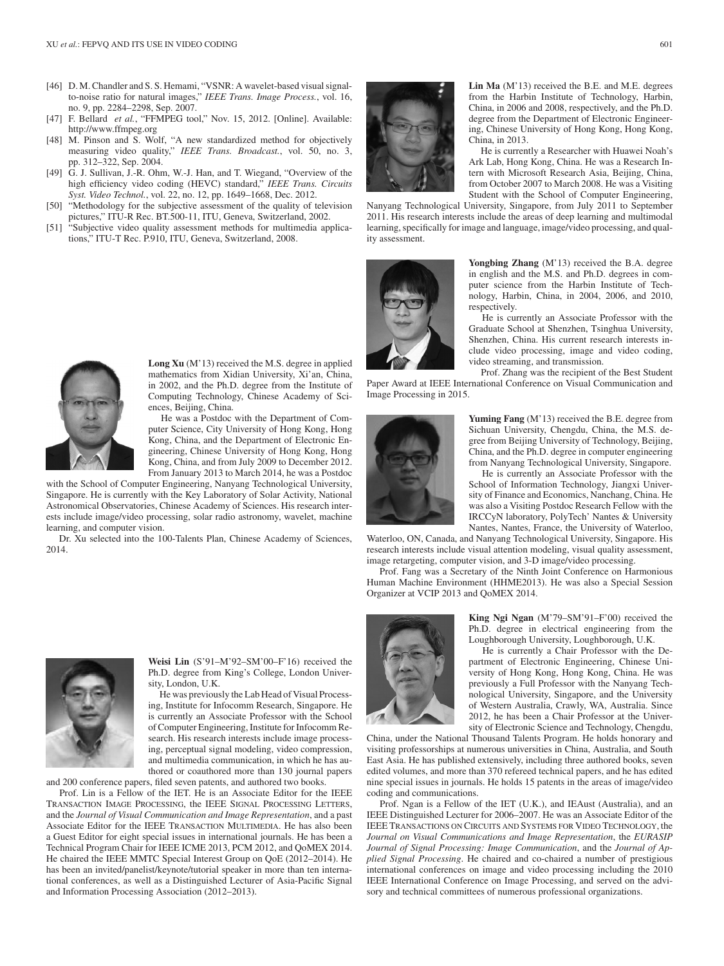- [46] D. M. Chandler and S. S. Hemami, "VSNR: A wavelet-based visual signalto-noise ratio for natural images," *IEEE Trans. Image Process.*, vol. 16, no. 9, pp. 2284–2298, Sep. 2007.
- [47] F. Bellard *et al.*, "FFMPEG tool," Nov. 15, 2012. [Online]. Available: http://www.ffmpeg.org
- [48] M. Pinson and S. Wolf, "A new standardized method for objectively measuring video quality," *IEEE Trans. Broadcast.*, vol. 50, no. 3, pp. 312–322, Sep. 2004.
- [49] G. J. Sullivan, J.-R. Ohm, W.-J. Han, and T. Wiegand, "Overview of the high efficiency video coding (HEVC) standard," *IEEE Trans. Circuits Syst. Video Technol.*, vol. 22, no. 12, pp. 1649–1668, Dec. 2012.
- [50] "Methodology for the subjective assessment of the quality of television pictures," ITU-R Rec. BT.500-11, ITU, Geneva, Switzerland, 2002.
- [51] "Subjective video quality assessment methods for multimedia applications," ITU-T Rec. P.910, ITU, Geneva, Switzerland, 2008.



**Lin Ma** (M'13) received the B.E. and M.E. degrees from the Harbin Institute of Technology, Harbin, China, in 2006 and 2008, respectively, and the Ph.D. degree from the Department of Electronic Engineering, Chinese University of Hong Kong, Hong Kong, China, in 2013.

He is currently a Researcher with Huawei Noah's Ark Lab, Hong Kong, China. He was a Research Intern with Microsoft Research Asia, Beijing, China, from October 2007 to March 2008. He was a Visiting Student with the School of Computer Engineering,

Nanyang Technological University, Singapore, from July 2011 to September 2011. His research interests include the areas of deep learning and multimodal learning, specifically for image and language, image/video processing, and quality assessment.



**Yongbing Zhang** (M'13) received the B.A. degree in english and the M.S. and Ph.D. degrees in computer science from the Harbin Institute of Technology, Harbin, China, in 2004, 2006, and 2010, respectively.

He is currently an Associate Professor with the Graduate School at Shenzhen, Tsinghua University, Shenzhen, China. His current research interests include video processing, image and video coding, video streaming, and transmission.

Prof. Zhang was the recipient of the Best Student Paper Award at IEEE International Conference on Visual Communication and Image Processing in 2015.



**Yuming Fang** (M'13) received the B.E. degree from Sichuan University, Chengdu, China, the M.S. degree from Beijing University of Technology, Beijing, China, and the Ph.D. degree in computer engineering from Nanyang Technological University, Singapore.

He is currently an Associate Professor with the School of Information Technology, Jiangxi University of Finance and Economics, Nanchang, China. He was also a Visiting Postdoc Research Fellow with the IRCCyN laboratory, PolyTech' Nantes & University Nantes, Nantes, France, the University of Waterloo,

Waterloo, ON, Canada, and Nanyang Technological University, Singapore. His research interests include visual attention modeling, visual quality assessment, image retargeting, computer vision, and 3-D image/video processing.

Prof. Fang was a Secretary of the Ninth Joint Conference on Harmonious Human Machine Environment (HHME2013). He was also a Special Session Organizer at VCIP 2013 and QoMEX 2014.



**King Ngi Ngan** (M'79–SM'91–F'00) received the Ph.D. degree in electrical engineering from the Loughborough University, Loughborough, U.K.

He is currently a Chair Professor with the Department of Electronic Engineering, Chinese University of Hong Kong, Hong Kong, China. He was previously a Full Professor with the Nanyang Technological University, Singapore, and the University of Western Australia, Crawly, WA, Australia. Since 2012, he has been a Chair Professor at the University of Electronic Science and Technology, Chengdu,

China, under the National Thousand Talents Program. He holds honorary and visiting professorships at numerous universities in China, Australia, and South East Asia. He has published extensively, including three authored books, seven edited volumes, and more than 370 refereed technical papers, and he has edited nine special issues in journals. He holds 15 patents in the areas of image/video coding and communications.

Prof. Ngan is a Fellow of the IET (U.K.), and IEAust (Australia), and an IEEE Distinguished Lecturer for 2006–2007. He was an Associate Editor of the IEEE TRANSACTIONS ON CIRCUITS AND SYSTEMS FOR VIDEO TECHNOLOGY, the *Journal on Visual Communications and Image Representation*, the *EURASIP Journal of Signal Processing: Image Communication*, and the *Journal of Applied Signal Processing*. He chaired and co-chaired a number of prestigious international conferences on image and video processing including the 2010 IEEE International Conference on Image Processing, and served on the advisory and technical committees of numerous professional organizations.



**Long Xu** (M'13) received the M.S. degree in applied mathematics from Xidian University, Xi'an, China, in 2002, and the Ph.D. degree from the Institute of Computing Technology, Chinese Academy of Sciences, Beijing, China.

He was a Postdoc with the Department of Computer Science, City University of Hong Kong, Hong Kong, China, and the Department of Electronic Engineering, Chinese University of Hong Kong, Hong Kong, China, and from July 2009 to December 2012. From January 2013 to March 2014, he was a Postdoc

with the School of Computer Engineering, Nanyang Technological University, Singapore. He is currently with the Key Laboratory of Solar Activity, National Astronomical Observatories, Chinese Academy of Sciences. His research interests include image/video processing, solar radio astronomy, wavelet, machine learning, and computer vision.

Dr. Xu selected into the 100-Talents Plan, Chinese Academy of Sciences, 2014.



**Weisi Lin** (S'91–M'92–SM'00–F'16) received the Ph.D. degree from King's College, London University, London, U.K.

He was previously the Lab Head of Visual Processing, Institute for Infocomm Research, Singapore. He is currently an Associate Professor with the School of Computer Engineering, Institute for Infocomm Research. His research interests include image processing, perceptual signal modeling, video compression, and multimedia communication, in which he has authored or coauthored more than 130 journal papers and 200 conference papers, filed seven patents, and authored two books.

Prof. Lin is a Fellow of the IET. He is an Associate Editor for the IEEE TRANSACTION IMAGE PROCESSING, the IEEE SIGNAL PROCESSING LETTERS, and the *Journal of Visual Communication and Image Representation*, and a past Associate Editor for the IEEE TRANSACTION MULTIMEDIA. He has also been a Guest Editor for eight special issues in international journals. He has been a Technical Program Chair for IEEE ICME 2013, PCM 2012, and QoMEX 2014. He chaired the IEEE MMTC Special Interest Group on QoE (2012–2014). He has been an invited/panelist/keynote/tutorial speaker in more than ten international conferences, as well as a Distinguished Lecturer of Asia-Pacific Signal and Information Processing Association (2012–2013).